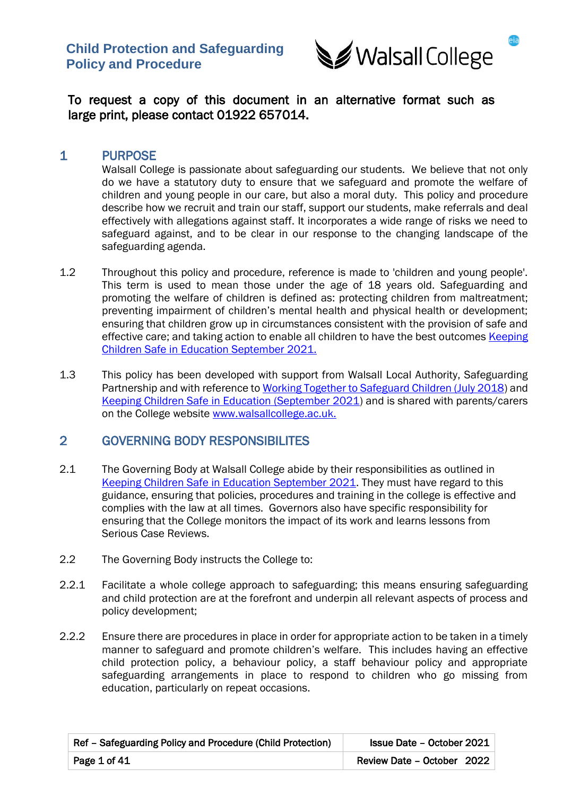

To request a copy of this document in an alternative format such as large print, please contact 01922 657014.

# 1 PURPOSE

 Walsall College is passionate about safeguarding our students. We believe that not only do we have a statutory duty to ensure that we safeguard and promote the welfare of children and young people in our care, but also a moral duty. This policy and procedure describe how we recruit and train our staff, support our students, make referrals and deal effectively with allegations against staff. It incorporates a wide range of risks we need to safeguard against, and to be clear in our response to the changing landscape of the safeguarding agenda.

- 1.2 Throughout this policy and procedure, reference is made to 'children and young people'. This term is used to mean those under the age of 18 years old. Safeguarding and promoting the welfare of children is defined as: protecting children from maltreatment; preventing impairment of children's mental health and physical health or development; ensuring that children grow up in circumstances consistent with the provision of safe and effective care; and taking action to enable all children to have the best outcomes [Keeping](https://assets.publishing.service.gov.uk/government/uploads/system/uploads/attachment_data/file/1021914/KCSIE_2021_September_guidance.pdf)  [Children Safe in Education September 2021.](https://assets.publishing.service.gov.uk/government/uploads/system/uploads/attachment_data/file/1021914/KCSIE_2021_September_guidance.pdf)
- 1.3 This policy has been developed with support from Walsall Local Authority, Safeguarding Partnership and with reference t[o Working Together to Safeguard Children \(July 2018\)](https://assets.publishing.service.gov.uk/government/uploads/system/uploads/attachment_data/file/942454/Working_together_to_safeguard_children_inter_agency_guidance.pdf) and [Keeping Children Safe in Education \(September 2021\)](https://assets.publishing.service.gov.uk/government/uploads/system/uploads/attachment_data/file/1021914/KCSIE_2021_September_guidance.pdf) and is shared with parents/carers on the College website [www.walsallcollege.ac.uk.](http://www.walsallcollege.ac.uk/)

# 2 GOVERNING BODY RESPONSIBILITES

- 2.1 The Governing Body at Walsall College abide by their responsibilities as outlined in [Keeping Children Safe in Education September 2021.](https://assets.publishing.service.gov.uk/government/uploads/system/uploads/attachment_data/file/1021914/KCSIE_2021_September_guidance.pdf) They must have regard to this guidance, ensuring that policies, procedures and training in the college is effective and complies with the law at all times. Governors also have specific responsibility for ensuring that the College monitors the impact of its work and learns lessons from Serious Case Reviews.
- 2.2 The Governing Body instructs the College to:
- 2.2.1 Facilitate a whole college approach to safeguarding; this means ensuring safeguarding and child protection are at the forefront and underpin all relevant aspects of process and policy development;
- 2.2.2 Ensure there are procedures in place in order for appropriate action to be taken in a timely manner to safeguard and promote children's welfare. This includes having an effective child protection policy, a behaviour policy, a staff behaviour policy and appropriate safeguarding arrangements in place to respond to children who go missing from education, particularly on repeat occasions.

| Ref - Safeguarding Policy and Procedure (Child Protection) | <b>Issue Date - October 2021</b> |
|------------------------------------------------------------|----------------------------------|
| Page 1 of 41                                               | Review Date - October 2022       |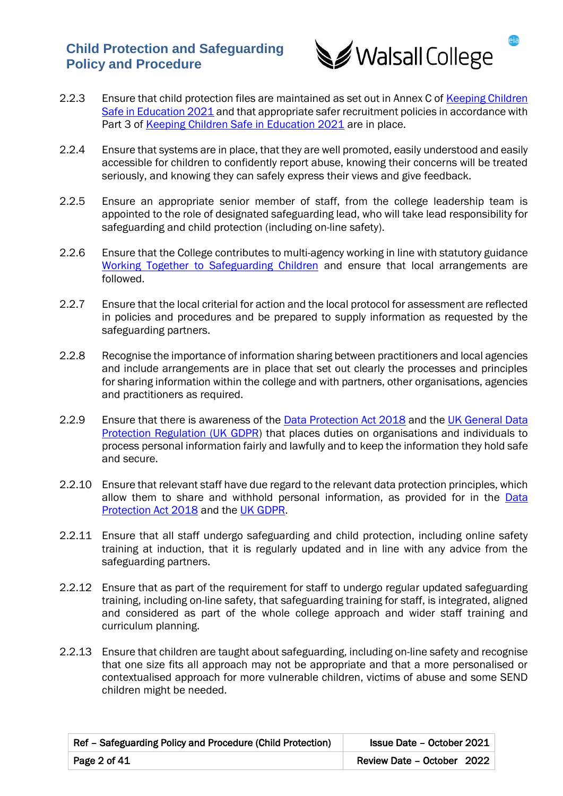

- 2.2.3 Ensure that child protection files are maintained as set out in Annex C of Keeping Children [Safe in Education 2021](https://assets.publishing.service.gov.uk/government/uploads/system/uploads/attachment_data/file/1021914/KCSIE_2021_September_guidance.pdf) and that appropriate safer recruitment policies in accordance with Part 3 of [Keeping Children Safe in Education 2021](https://assets.publishing.service.gov.uk/government/uploads/system/uploads/attachment_data/file/1021914/KCSIE_2021_September_guidance.pdf) are in place.
- 2.2.4 Ensure that systems are in place, that they are well promoted, easily understood and easily accessible for children to confidently report abuse, knowing their concerns will be treated seriously, and knowing they can safely express their views and give feedback.
- 2.2.5 Ensure an appropriate senior member of staff, from the college leadership team is appointed to the role of designated safeguarding lead, who will take lead responsibility for safeguarding and child protection (including on-line safety).
- 2.2.6 Ensure that the College contributes to multi-agency working in line with statutory guidance [Working Together to Safeguarding Children](https://assets.publishing.service.gov.uk/government/uploads/system/uploads/attachment_data/file/942454/Working_together_to_safeguard_children_inter_agency_guidance.pdf) and ensure that local arrangements are followed.
- 2.2.7 Ensure that the local criterial for action and the local protocol for assessment are reflected in policies and procedures and be prepared to supply information as requested by the safeguarding partners.
- 2.2.8 Recognise the importance of information sharing between practitioners and local agencies and include arrangements are in place that set out clearly the processes and principles for sharing information within the college and with partners, other organisations, agencies and practitioners as required.
- 2.2.9 Ensure that there is awareness of the [Data Protection Act 2018](https://www.legislation.gov.uk/ukpga/2018/12/contents/enacted) and the UK General Data [Protection Regulation \(UK GDPR\)](https://ico.org.uk/for-organisations/guide-to-data-protection/guide-to-the-general-data-protection-regulation-gdpr/) that places duties on organisations and individuals to process personal information fairly and lawfully and to keep the information they hold safe and secure.
- 2.2.10 Ensure that relevant staff have due regard to the relevant data protection principles, which allow them to share and withhold personal information, as provided for in the Data [Protection Act 2018](https://www.legislation.gov.uk/ukpga/2018/12/contents/enacted) and the [UK GDPR.](https://ico.org.uk/for-organisations/guide-to-data-protection/guide-to-the-general-data-protection-regulation-gdpr/)
- 2.2.11 Ensure that all staff undergo safeguarding and child protection, including online safety training at induction, that it is regularly updated and in line with any advice from the safeguarding partners.
- 2.2.12 Ensure that as part of the requirement for staff to undergo regular updated safeguarding training, including on-line safety, that safeguarding training for staff, is integrated, aligned and considered as part of the whole college approach and wider staff training and curriculum planning.
- 2.2.13 Ensure that children are taught about safeguarding, including on-line safety and recognise that one size fits all approach may not be appropriate and that a more personalised or contextualised approach for more vulnerable children, victims of abuse and some SEND children might be needed.

| Ref - Safeguarding Policy and Procedure (Child Protection) | <b>Issue Date - October 2021</b> |
|------------------------------------------------------------|----------------------------------|
| Page $2$ of $41$                                           | Review Date - October 2022       |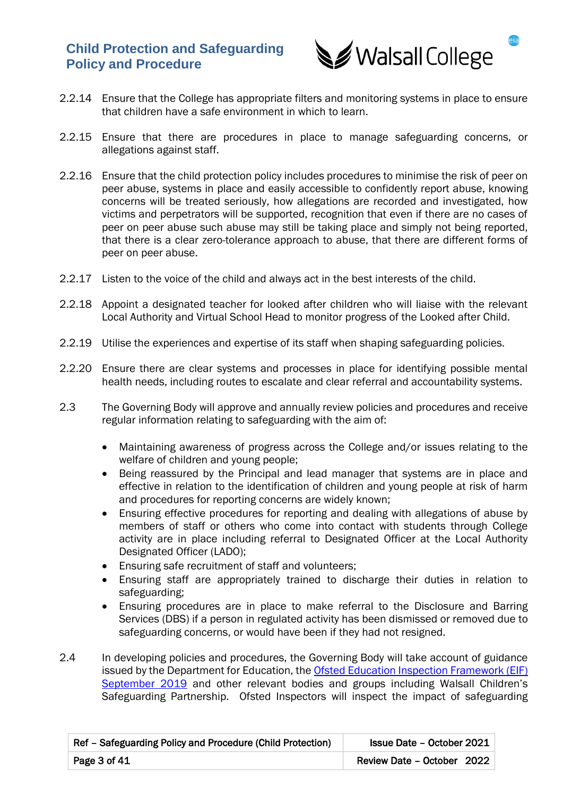

- 2.2.14 Ensure that the College has appropriate filters and monitoring systems in place to ensure that children have a safe environment in which to learn.
- 2.2.15 Ensure that there are procedures in place to manage safeguarding concerns, or allegations against staff.
- 2.2.16 Ensure that the child protection policy includes procedures to minimise the risk of peer on peer abuse, systems in place and easily accessible to confidently report abuse, knowing concerns will be treated seriously, how allegations are recorded and investigated, how victims and perpetrators will be supported, recognition that even if there are no cases of peer on peer abuse such abuse may still be taking place and simply not being reported, that there is a clear zero-tolerance approach to abuse, that there are different forms of peer on peer abuse.
- 2.2.17 Listen to the voice of the child and always act in the best interests of the child.
- 2.2.18 Appoint a designated teacher for looked after children who will liaise with the relevant Local Authority and Virtual School Head to monitor progress of the Looked after Child.
- 2.2.19 Utilise the experiences and expertise of its staff when shaping safeguarding policies.
- 2.2.20 Ensure there are clear systems and processes in place for identifying possible mental health needs, including routes to escalate and clear referral and accountability systems.
- 2.3 The Governing Body will approve and annually review policies and procedures and receive regular information relating to safeguarding with the aim of:
	- Maintaining awareness of progress across the College and/or issues relating to the welfare of children and young people;
	- Being reassured by the Principal and lead manager that systems are in place and effective in relation to the identification of children and young people at risk of harm and procedures for reporting concerns are widely known;
	- Ensuring effective procedures for reporting and dealing with allegations of abuse by members of staff or others who come into contact with students through College activity are in place including referral to Designated Officer at the Local Authority Designated Officer (LADO);
	- Ensuring safe recruitment of staff and volunteers;
	- Ensuring staff are appropriately trained to discharge their duties in relation to safeguarding;
	- Ensuring procedures are in place to make referral to the Disclosure and Barring Services (DBS) if a person in regulated activity has been dismissed or removed due to safeguarding concerns, or would have been if they had not resigned.
- 2.4 In developing policies and procedures, the Governing Body will take account of guidance issued by the Department for Education, the [Ofsted Education Inspection Framework \(EIF\)](https://www.gov.uk/government/publications/education-inspection-framework)  [September 2019](https://www.gov.uk/government/publications/education-inspection-framework) and other relevant bodies and groups including Walsall Children's Safeguarding Partnership. Ofsted Inspectors will inspect the impact of safeguarding

| Ref - Safeguarding Policy and Procedure (Child Protection) | <b>Issue Date - October 2021</b> |
|------------------------------------------------------------|----------------------------------|
| Page 3 of 41                                               | Review Date - October 2022       |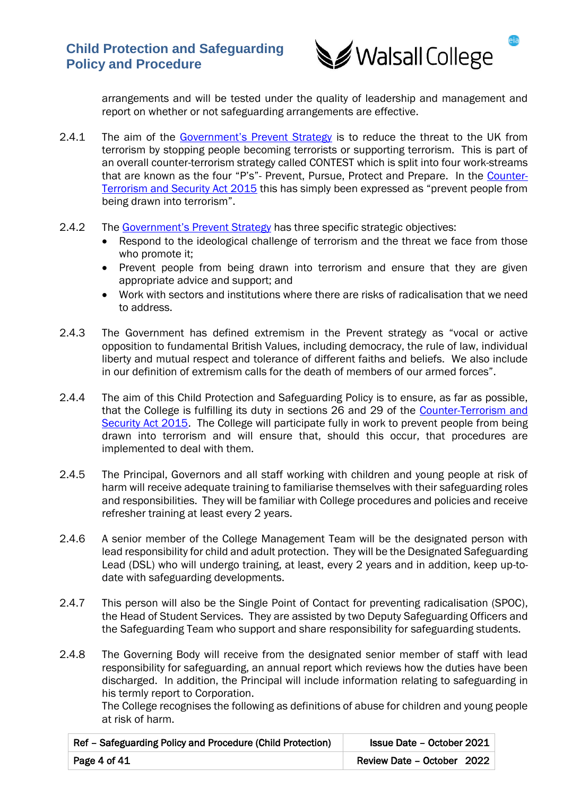

arrangements and will be tested under the quality of leadership and management and report on whether or not safeguarding arrangements are effective.

- 2.4.1 The aim of the [Government's Prevent Strategy](https://www.gov.uk/government/publications/prevent-duty-guidance) is to reduce the threat to the UK from terrorism by stopping people becoming terrorists or supporting terrorism. This is part of an overall counter-terrorism strategy called CONTEST which is split into four work-streams that are known as the four "P's"- Prevent, Pursue, Protect and Prepare. In the [Counter-](https://www.gov.uk/government/collections/counter-terrorism-and-security-bill)[Terrorism and Security Act 2015](https://www.gov.uk/government/collections/counter-terrorism-and-security-bill) this has simply been expressed as "prevent people from being drawn into terrorism".
- 2.4.2 The [Government's Prevent Strategy](https://www.gov.uk/government/publications/prevent-duty-guidance) has three specific strategic objectives:
	- Respond to the ideological challenge of terrorism and the threat we face from those who promote it;
	- Prevent people from being drawn into terrorism and ensure that they are given appropriate advice and support; and
	- Work with sectors and institutions where there are risks of radicalisation that we need to address.
- 2.4.3 The Government has defined extremism in the Prevent strategy as "vocal or active opposition to fundamental British Values, including democracy, the rule of law, individual liberty and mutual respect and tolerance of different faiths and beliefs. We also include in our definition of extremism calls for the death of members of our armed forces".
- 2.4.4 The aim of this Child Protection and Safeguarding Policy is to ensure, as far as possible, that the College is fulfilling its duty in sections 26 and 29 of the [Counter-Terrorism and](https://www.gov.uk/government/collections/counter-terrorism-and-security-bill)  [Security Act 2015.](https://www.gov.uk/government/collections/counter-terrorism-and-security-bill) The College will participate fully in work to prevent people from being drawn into terrorism and will ensure that, should this occur, that procedures are implemented to deal with them.
- 2.4.5 The Principal, Governors and all staff working with children and young people at risk of harm will receive adequate training to familiarise themselves with their safeguarding roles and responsibilities. They will be familiar with College procedures and policies and receive refresher training at least every 2 years.
- 2.4.6 A senior member of the College Management Team will be the designated person with lead responsibility for child and adult protection. They will be the Designated Safeguarding Lead (DSL) who will undergo training, at least, every 2 years and in addition, keep up-todate with safeguarding developments.
- 2.4.7 This person will also be the Single Point of Contact for preventing radicalisation (SPOC), the Head of Student Services. They are assisted by two Deputy Safeguarding Officers and the Safeguarding Team who support and share responsibility for safeguarding students.
- 2.4.8 The Governing Body will receive from the designated senior member of staff with lead responsibility for safeguarding, an annual report which reviews how the duties have been discharged. In addition, the Principal will include information relating to safeguarding in his termly report to Corporation.

The College recognises the following as definitions of abuse for children and young people at risk of harm.

| Ref - Safeguarding Policy and Procedure (Child Protection) | <b>Issue Date - October 2021</b> |
|------------------------------------------------------------|----------------------------------|
| Page 4 of $41$                                             | Review Date - October 2022       |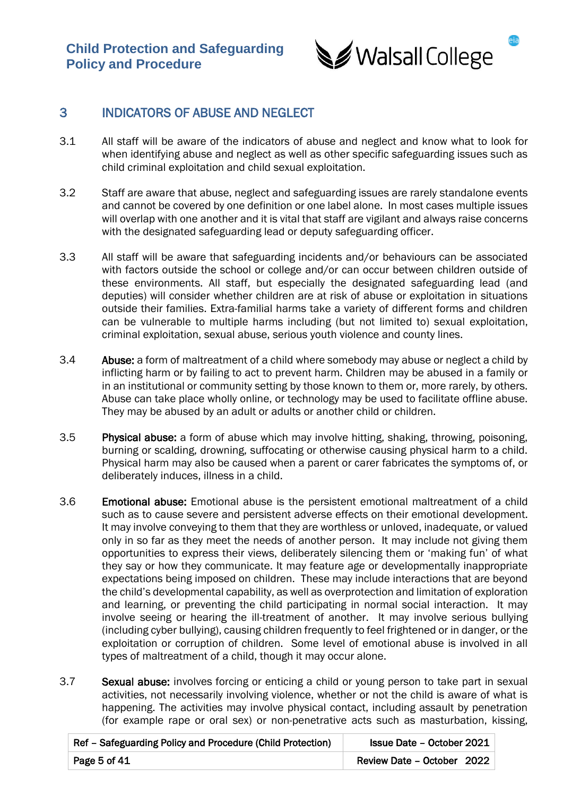

# 3 INDICATORS OF ABUSE AND NEGLECT

- 3.1 All staff will be aware of the indicators of abuse and neglect and know what to look for when identifying abuse and neglect as well as other specific safeguarding issues such as child criminal exploitation and child sexual exploitation.
- 3.2 Staff are aware that abuse, neglect and safeguarding issues are rarely standalone events and cannot be covered by one definition or one label alone. In most cases multiple issues will overlap with one another and it is vital that staff are vigilant and always raise concerns with the designated safeguarding lead or deputy safeguarding officer.
- 3.3 All staff will be aware that safeguarding incidents and/or behaviours can be associated with factors outside the school or college and/or can occur between children outside of these environments. All staff, but especially the designated safeguarding lead (and deputies) will consider whether children are at risk of abuse or exploitation in situations outside their families. Extra-familial harms take a variety of different forms and children can be vulnerable to multiple harms including (but not limited to) sexual exploitation, criminal exploitation, sexual abuse, serious youth violence and county lines.
- 3.4 Abuse: a form of maltreatment of a child where somebody may abuse or neglect a child by inflicting harm or by failing to act to prevent harm. Children may be abused in a family or in an institutional or community setting by those known to them or, more rarely, by others. Abuse can take place wholly online, or technology may be used to facilitate offline abuse. They may be abused by an adult or adults or another child or children.
- 3.5 Physical abuse: a form of abuse which may involve hitting, shaking, throwing, poisoning, burning or scalding, drowning, suffocating or otherwise causing physical harm to a child. Physical harm may also be caused when a parent or carer fabricates the symptoms of, or deliberately induces, illness in a child.
- 3.6 Emotional abuse: Emotional abuse is the persistent emotional maltreatment of a child such as to cause severe and persistent adverse effects on their emotional development. It may involve conveying to them that they are worthless or unloved, inadequate, or valued only in so far as they meet the needs of another person. It may include not giving them opportunities to express their views, deliberately silencing them or 'making fun' of what they say or how they communicate. It may feature age or developmentally inappropriate expectations being imposed on children. These may include interactions that are beyond the child's developmental capability, as well as overprotection and limitation of exploration and learning, or preventing the child participating in normal social interaction. It may involve seeing or hearing the ill-treatment of another. It may involve serious bullying (including cyber bullying), causing children frequently to feel frightened or in danger, or the exploitation or corruption of children. Some level of emotional abuse is involved in all types of maltreatment of a child, though it may occur alone.
- 3.7 Sexual abuse: involves forcing or enticing a child or young person to take part in sexual activities, not necessarily involving violence, whether or not the child is aware of what is happening. The activities may involve physical contact, including assault by penetration (for example rape or oral sex) or non-penetrative acts such as masturbation, kissing,

| Ref - Safeguarding Policy and Procedure (Child Protection) | <b>Issue Date - October 2021</b> |
|------------------------------------------------------------|----------------------------------|
| Page 5 of 41                                               | Review Date - October 2022       |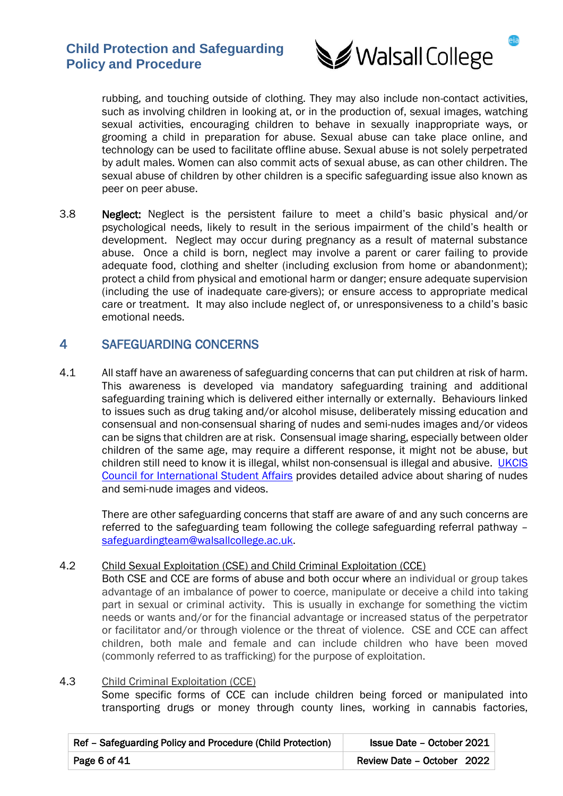

rubbing, and touching outside of clothing. They may also include non-contact activities, such as involving children in looking at, or in the production of, sexual images, watching sexual activities, encouraging children to behave in sexually inappropriate ways, or grooming a child in preparation for abuse. Sexual abuse can take place online, and technology can be used to facilitate offline abuse. Sexual abuse is not solely perpetrated by adult males. Women can also commit acts of sexual abuse, as can other children. The sexual abuse of children by other children is a specific safeguarding issue also known as peer on peer abuse.

3.8 Neglect: Neglect is the persistent failure to meet a child's basic physical and/or psychological needs, likely to result in the serious impairment of the child's health or development. Neglect may occur during pregnancy as a result of maternal substance abuse. Once a child is born, neglect may involve a parent or carer failing to provide adequate food, clothing and shelter (including exclusion from home or abandonment); protect a child from physical and emotional harm or danger; ensure adequate supervision (including the use of inadequate care-givers); or ensure access to appropriate medical care or treatment. It may also include neglect of, or unresponsiveness to a child's basic emotional needs.

# 4 SAFEGUARDING CONCERNS

4.1 All staff have an awareness of safeguarding concerns that can put children at risk of harm. This awareness is developed via mandatory safeguarding training and additional safeguarding training which is delivered either internally or externally. Behaviours linked to issues such as drug taking and/or alcohol misuse, deliberately missing education and consensual and non-consensual sharing of nudes and semi-nudes images and/or videos can be signs that children are at risk. Consensual image sharing, especially between older children of the same age, may require a different response, it might not be abuse, but children still need to know it is illegal, whilst non-consensual is illegal and abusive. [UKCIS](https://www.ukcisa.org.uk/) [Council for International Student Affairs](https://www.ukcisa.org.uk/) provides detailed advice about sharing of nudes and semi-nude images and videos.

There are other safeguarding concerns that staff are aware of and any such concerns are referred to the safeguarding team following the college safeguarding referral pathway – [safeguardingteam@walsallcollege.ac.uk.](mailto:safeguardingteam@walsallcollege.ac.uk)

### 4.2 Child Sexual Exploitation (CSE) and Child Criminal Exploitation (CCE)

Both CSE and CCE are forms of abuse and both occur where an individual or group takes advantage of an imbalance of power to coerce, manipulate or deceive a child into taking part in sexual or criminal activity. This is usually in exchange for something the victim needs or wants and/or for the financial advantage or increased status of the perpetrator or facilitator and/or through violence or the threat of violence. CSE and CCE can affect children, both male and female and can include children who have been moved (commonly referred to as trafficking) for the purpose of exploitation.

#### 4.3 Child Criminal Exploitation (CCE) Some specific forms of CCE can include children being forced or manipulated into transporting drugs or money through county lines, working in cannabis factories,

| Ref - Safeguarding Policy and Procedure (Child Protection) | <b>Issue Date - October 2021</b> |
|------------------------------------------------------------|----------------------------------|
| Page 6 of 41                                               | Review Date - October 2022       |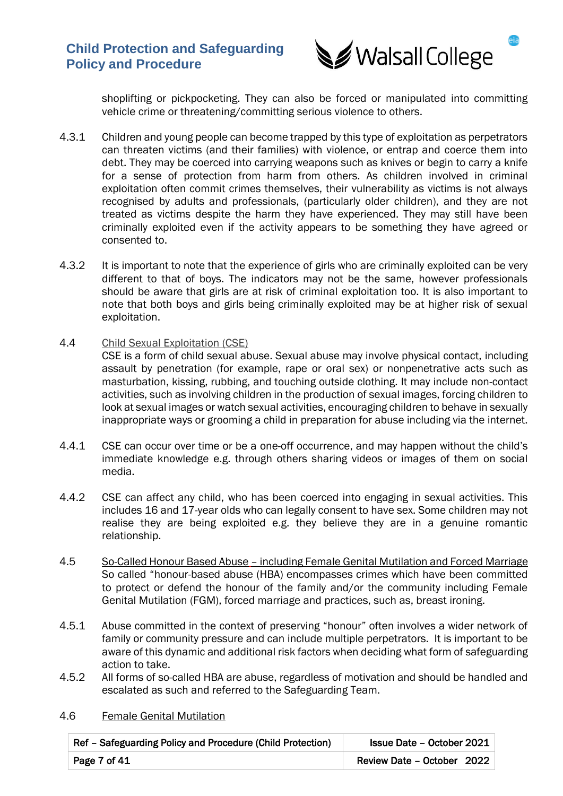

shoplifting or pickpocketing. They can also be forced or manipulated into committing vehicle crime or threatening/committing serious violence to others.

- 4.3.1 Children and young people can become trapped by this type of exploitation as perpetrators can threaten victims (and their families) with violence, or entrap and coerce them into debt. They may be coerced into carrying weapons such as knives or begin to carry a knife for a sense of protection from harm from others. As children involved in criminal exploitation often commit crimes themselves, their vulnerability as victims is not always recognised by adults and professionals, (particularly older children), and they are not treated as victims despite the harm they have experienced. They may still have been criminally exploited even if the activity appears to be something they have agreed or consented to.
- 4.3.2 It is important to note that the experience of girls who are criminally exploited can be very different to that of boys. The indicators may not be the same, however professionals should be aware that girls are at risk of criminal exploitation too. It is also important to note that both boys and girls being criminally exploited may be at higher risk of sexual exploitation.
- 4.4 Child Sexual Exploitation (CSE)

CSE is a form of child sexual abuse. Sexual abuse may involve physical contact, including assault by penetration (for example, rape or oral sex) or nonpenetrative acts such as masturbation, kissing, rubbing, and touching outside clothing. It may include non-contact activities, such as involving children in the production of sexual images, forcing children to look at sexual images or watch sexual activities, encouraging children to behave in sexually inappropriate ways or grooming a child in preparation for abuse including via the internet.

- 4.4.1 CSE can occur over time or be a one-off occurrence, and may happen without the child's immediate knowledge e.g. through others sharing videos or images of them on social media.
- 4.4.2 CSE can affect any child, who has been coerced into engaging in sexual activities. This includes 16 and 17-year olds who can legally consent to have sex. Some children may not realise they are being exploited e.g. they believe they are in a genuine romantic relationship.
- 4.5 So-Called Honour Based Abuse including Female Genital Mutilation and Forced Marriage So called "honour-based abuse (HBA) encompasses crimes which have been committed to protect or defend the honour of the family and/or the community including Female Genital Mutilation (FGM), forced marriage and practices, such as, breast ironing.
- 4.5.1 Abuse committed in the context of preserving "honour" often involves a wider network of family or community pressure and can include multiple perpetrators. It is important to be aware of this dynamic and additional risk factors when deciding what form of safeguarding action to take.
- 4.5.2 All forms of so-called HBA are abuse, regardless of motivation and should be handled and escalated as such and referred to the Safeguarding Team.

| Ref - Safeguarding Policy and Procedure (Child Protection) | Issue Date - October 2021  |
|------------------------------------------------------------|----------------------------|
| Page 7 of 41                                               | Review Date - October 2022 |

### 4.6 Female Genital Mutilation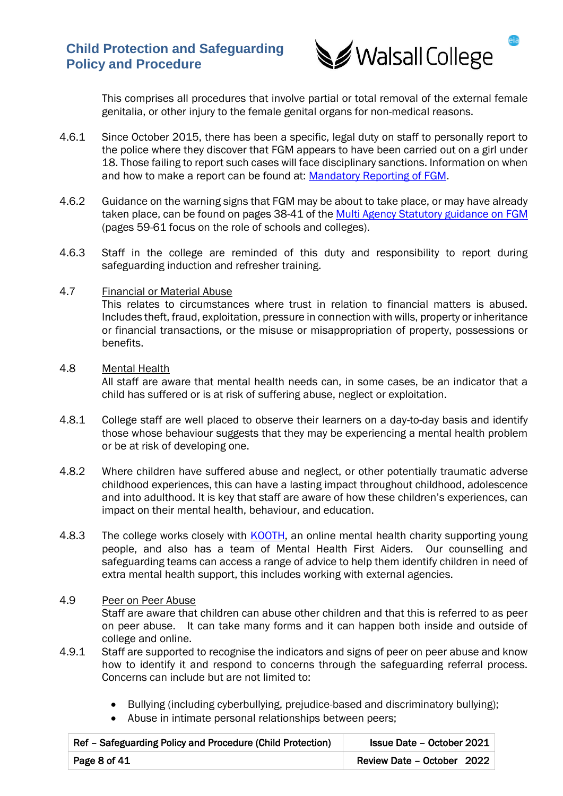

This comprises all procedures that involve partial or total removal of the external female genitalia, or other injury to the female genital organs for non-medical reasons.

- 4.6.1 Since October 2015, there has been a specific, legal duty on staff to personally report to the police where they discover that FGM appears to have been carried out on a girl under 18. Those failing to report such cases will face disciplinary sanctions. Information on when and how to make a report can be found at: [Mandatory Reporting of FGM.](https://assets.publishing.service.gov.uk/government/uploads/system/uploads/attachment_data/file/573782/FGM_Mandatory_Reporting_-_procedural_information_nov16_FINAL.pdf)
- 4.6.2 Guidance on the warning signs that FGM may be about to take place, or may have already taken place, can be found on pages 38-41 of the [Multi Agency Statutory guidance on FGM](https://www.gov.uk/government/publications/multi-agency-statutory-guidance-on-female-genital-mutilation)  (pages 59-61 focus on the role of schools and colleges).
- 4.6.3 Staff in the college are reminded of this duty and responsibility to report during safeguarding induction and refresher training.

### 4.7 Financial or Material Abuse

This relates to circumstances where trust in relation to financial matters is abused. Includes theft, fraud, exploitation, pressure in connection with wills, property or inheritance or financial transactions, or the misuse or misappropriation of property, possessions or benefits.

### 4.8 Mental Health

All staff are aware that mental health needs can, in some cases, be an indicator that a child has suffered or is at risk of suffering abuse, neglect or exploitation.

- 4.8.1 College staff are well placed to observe their learners on a day-to-day basis and identify those whose behaviour suggests that they may be experiencing a mental health problem or be at risk of developing one.
- 4.8.2 Where children have suffered abuse and neglect, or other potentially traumatic adverse childhood experiences, this can have a lasting impact throughout childhood, adolescence and into adulthood. It is key that staff are aware of how these children's experiences, can impact on their mental health, behaviour, and education.
- 4.8.3 The college works closely with **KOOTH**, an online mental health charity supporting young people, and also has a team of Mental Health First Aiders. Our counselling and safeguarding teams can access a range of advice to help them identify children in need of extra mental health support, this includes working with external agencies.

### 4.9 Peer on Peer Abuse

Staff are aware that children can abuse other children and that this is referred to as peer on peer abuse. It can take many forms and it can happen both inside and outside of college and online.

- 4.9.1 Staff are supported to recognise the indicators and signs of peer on peer abuse and know how to identify it and respond to concerns through the safeguarding referral process. Concerns can include but are not limited to:
	- Bullying (including cyberbullying, prejudice-based and discriminatory bullying);
	- Abuse in intimate personal relationships between peers;

| Ref - Safeguarding Policy and Procedure (Child Protection) | Issue Date - October 2021  |
|------------------------------------------------------------|----------------------------|
| Page 8 of 41                                               | Review Date - October 2022 |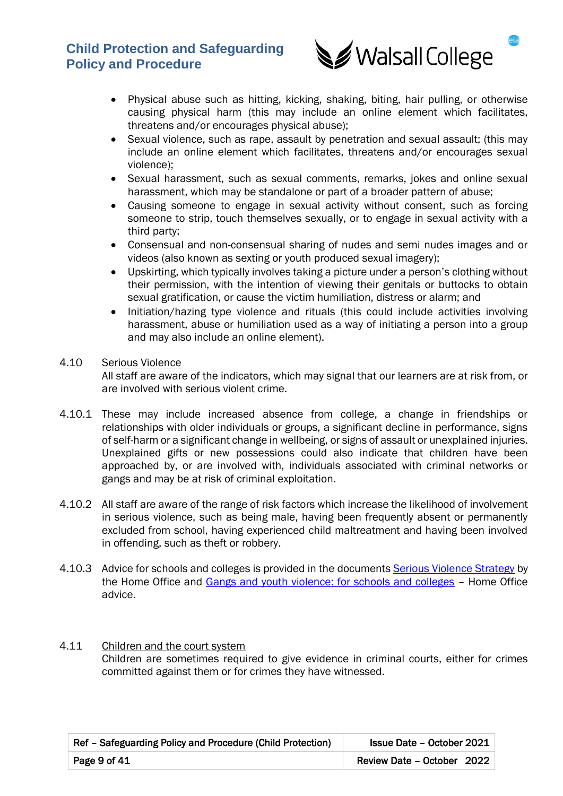

- Physical abuse such as hitting, kicking, shaking, biting, hair pulling, or otherwise causing physical harm (this may include an online element which facilitates, threatens and/or encourages physical abuse);
- Sexual violence, such as rape, assault by penetration and sexual assault; (this may include an online element which facilitates, threatens and/or encourages sexual violence);
- Sexual harassment, such as sexual comments, remarks, jokes and online sexual harassment, which may be standalone or part of a broader pattern of abuse;
- Causing someone to engage in sexual activity without consent, such as forcing someone to strip, touch themselves sexually, or to engage in sexual activity with a third party;
- Consensual and non-consensual sharing of nudes and semi nudes images and or videos (also known as sexting or youth produced sexual imagery);
- Upskirting, which typically involves taking a picture under a person's clothing without their permission, with the intention of viewing their genitals or buttocks to obtain sexual gratification, or cause the victim humiliation, distress or alarm; and
- Initiation/hazing type violence and rituals (this could include activities involving harassment, abuse or humiliation used as a way of initiating a person into a group and may also include an online element).

## 4.10 Serious Violence

All staff are aware of the indicators, which may signal that our learners are at risk from, or are involved with serious violent crime.

- 4.10.1 These may include increased absence from college, a change in friendships or relationships with older individuals or groups, a significant decline in performance, signs of self-harm or a significant change in wellbeing, or signs of assault or unexplained injuries. Unexplained gifts or new possessions could also indicate that children have been approached by, or are involved with, individuals associated with criminal networks or gangs and may be at risk of criminal exploitation.
- 4.10.2 All staff are aware of the range of risk factors which increase the likelihood of involvement in serious violence, such as being male, having been frequently absent or permanently excluded from school, having experienced child maltreatment and having been involved in offending, such as theft or robbery.
- 4.10.3 Advice for schools and colleges is provided in the documents [Serious Violence Strategy](https://www.gov.uk/government/publications/serious-violence-strategy) by the Home Office and [Gangs and youth violence: for schools and colleges](https://www.gov.uk/government/publications/advice-to-schools-and-colleges-on-gangs-and-youth-violence) – Home Office advice.

### 4.11 Children and the court system Children are sometimes required to give evidence in criminal courts, either for crimes committed against them or for crimes they have witnessed.

| Ref - Safeguarding Policy and Procedure (Child Protection) | <b>Issue Date - October 2021</b> |
|------------------------------------------------------------|----------------------------------|
| Page 9 of 41                                               | Review Date - October 2022       |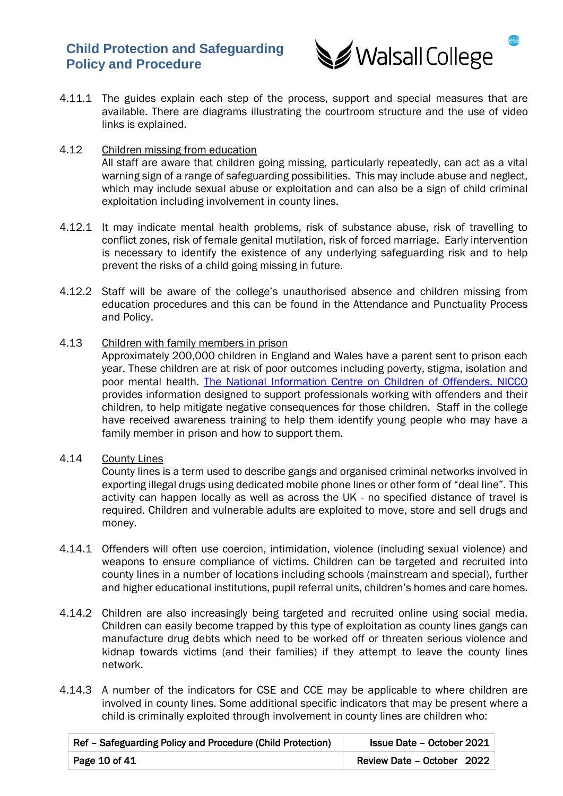

4.11.1 The guides explain each step of the process, support and special measures that are available. There are diagrams illustrating the courtroom structure and the use of video links is explained.

### 4.12 Children missing from education

All staff are aware that children going missing, particularly repeatedly, can act as a vital warning sign of a range of safeguarding possibilities. This may include abuse and neglect, which may include sexual abuse or exploitation and can also be a sign of child criminal exploitation including involvement in county lines.

- 4.12.1 It may indicate mental health problems, risk of substance abuse, risk of travelling to conflict zones, risk of female genital mutilation, risk of forced marriage. Early intervention is necessary to identify the existence of any underlying safeguarding risk and to help prevent the risks of a child going missing in future.
- 4.12.2 Staff will be aware of the college's unauthorised absence and children missing from education procedures and this can be found in the Attendance and Punctuality Process and Policy.

### 4.13 Children with family members in prison

Approximately 200,000 children in England and Wales have a parent sent to prison each year. These children are at risk of poor outcomes including poverty, stigma, isolation and poor mental health. [The National Information Centre on Children of Offenders, NICCO](https://www.nicco.org.uk/) provides information designed to support professionals working with offenders and their children, to help mitigate negative consequences for those children. Staff in the college have received awareness training to help them identify young people who may have a family member in prison and how to support them.

### 4.14 County Lines

County lines is a term used to describe gangs and organised criminal networks involved in exporting illegal drugs using dedicated mobile phone lines or other form of "deal line". This activity can happen locally as well as across the UK - no specified distance of travel is required. Children and vulnerable adults are exploited to move, store and sell drugs and money.

- 4.14.1 Offenders will often use coercion, intimidation, violence (including sexual violence) and weapons to ensure compliance of victims. Children can be targeted and recruited into county lines in a number of locations including schools (mainstream and special), further and higher educational institutions, pupil referral units, children's homes and care homes.
- 4.14.2 Children are also increasingly being targeted and recruited online using social media. Children can easily become trapped by this type of exploitation as county lines gangs can manufacture drug debts which need to be worked off or threaten serious violence and kidnap towards victims (and their families) if they attempt to leave the county lines network.
- 4.14.3 A number of the indicators for CSE and CCE may be applicable to where children are involved in county lines. Some additional specific indicators that may be present where a child is criminally exploited through involvement in county lines are children who:

| Ref - Safeguarding Policy and Procedure (Child Protection) | Issue Date - October 2021  |
|------------------------------------------------------------|----------------------------|
| Page 10 of 41                                              | Review Date - October 2022 |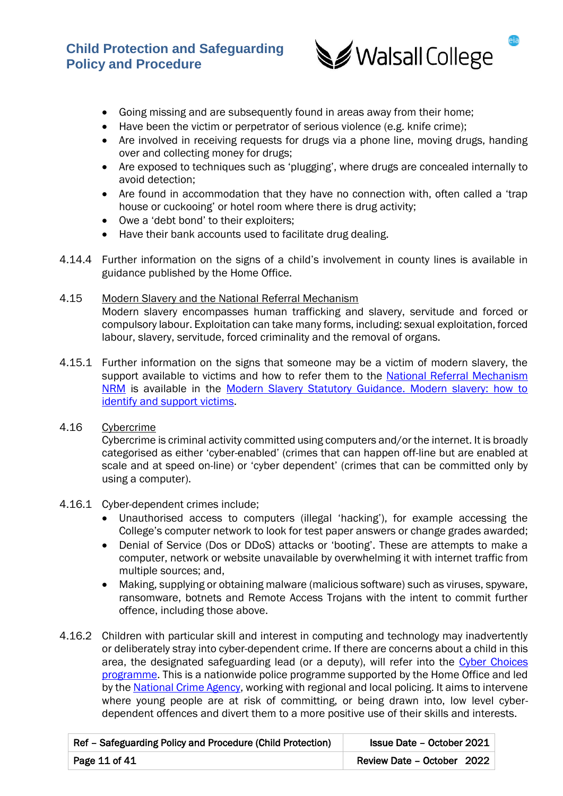

- Going missing and are subsequently found in areas away from their home;
- Have been the victim or perpetrator of serious violence (e.g. knife crime);
- Are involved in receiving requests for drugs via a phone line, moving drugs, handing over and collecting money for drugs;
- Are exposed to techniques such as 'plugging', where drugs are concealed internally to avoid detection;
- Are found in accommodation that they have no connection with, often called a 'trap house or cuckooing' or hotel room where there is drug activity;
- Owe a 'debt bond' to their exploiters;
- Have their bank accounts used to facilitate drug dealing.
- 4.14.4 Further information on the signs of a child's involvement in county lines is available in guidance published by the Home Office.

### 4.15 Modern Slavery and the National Referral Mechanism Modern slavery encompasses human trafficking and slavery, servitude and forced or compulsory labour. Exploitation can take many forms, including: sexual exploitation, forced labour, slavery, servitude, forced criminality and the removal of organs.

- 4.15.1 Further information on the signs that someone may be a victim of modern slavery, the support available to victims and how to refer them to the National Referral Mechanism [NRM](https://www.gov.uk/government/publications/human-trafficking-victims-referral-and-assessment-forms) is available in the [Modern Slavery Statutory Guidance. Modern slavery: how to](https://www.gov.uk/government/publications/modern-slavery-how-to-identify-and-support-victims)  [identify and support victims.](https://www.gov.uk/government/publications/modern-slavery-how-to-identify-and-support-victims)
- 4.16 Cybercrime

Cybercrime is criminal activity committed using computers and/or the internet. It is broadly categorised as either 'cyber-enabled' (crimes that can happen off-line but are enabled at scale and at speed on-line) or 'cyber dependent' (crimes that can be committed only by using a computer).

### 4.16.1 Cyber-dependent crimes include;

- Unauthorised access to computers (illegal 'hacking'), for example accessing the College's computer network to look for test paper answers or change grades awarded;
- Denial of Service (Dos or DDoS) attacks or 'booting'. These are attempts to make a computer, network or website unavailable by overwhelming it with internet traffic from multiple sources; and,
- Making, supplying or obtaining malware (malicious software) such as viruses, spyware, ransomware, botnets and Remote Access Trojans with the intent to commit further offence, including those above.
- 4.16.2 Children with particular skill and interest in computing and technology may inadvertently or deliberately stray into cyber-dependent crime. If there are concerns about a child in this area, the designated safeguarding lead (or a deputy), will refer into the Cyber Choices [programme.](https://www.nationalcrimeagency.gov.uk/what-we-do/crime-threats/cyber-crime/cyberchoices) This is a nationwide police programme supported by the Home Office and led by the [National Crime Agency,](https://www.nationalcrimeagency.gov.uk/what-we-do/crime-threats/cyber-crime/cyberchoices) working with regional and local policing. It aims to intervene where young people are at risk of committing, or being drawn into, low level cyberdependent offences and divert them to a more positive use of their skills and interests.

| Ref - Safeguarding Policy and Procedure (Child Protection) | Issue Date - October 2021     |
|------------------------------------------------------------|-------------------------------|
| Page 11 of $41$                                            | Review Date – October $20221$ |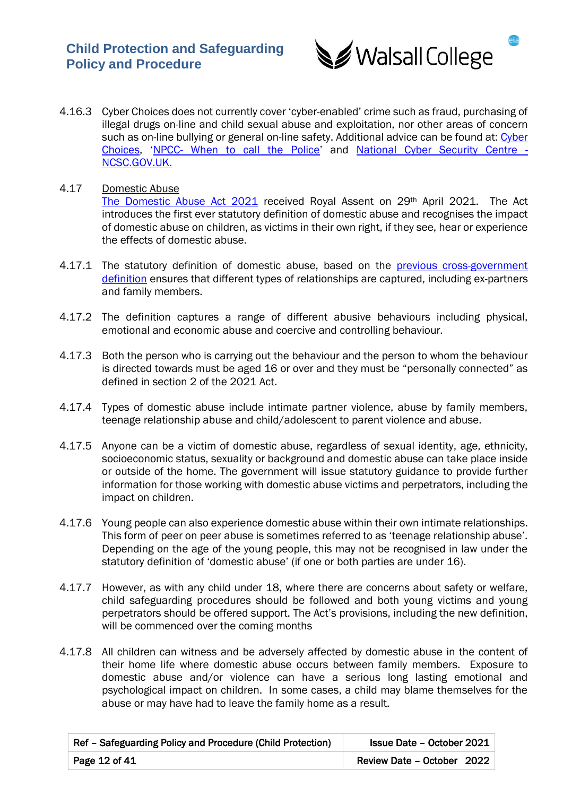

- 4.16.3 Cyber Choices does not currently cover 'cyber-enabled' crime such as fraud, purchasing of illegal drugs on-line and child sexual abuse and exploitation, nor other areas of concern such as on-line bullying or general on-line safety. Additional advice can be found at: Cyber [Choices](https://www.nationalcrimeagency.gov.uk/what-we-do/crime-threats/cyber-crime/cyberchoices), 'NPCC- [When to call the Police](https://www.npcc.police.uk/documents/Children%20and%20Young%20people/When%20to%20call%20the%20police%20guidance%20for%20schools%20and%20colleges.pdf)' and [National Cyber Security Centre -](https://www.ncsc.gov.uk/) [NCSC.GOV.UK.](https://www.ncsc.gov.uk/)
- 4.17 Domestic Abuse [The Domestic Abuse Act 2021](https://www.legislation.gov.uk/ukpga/2021/17/contents) received Royal Assent on 29th April 2021. The Act introduces the first ever statutory definition of domestic abuse and recognises the impact of domestic abuse on children, as victims in their own right, if they see, hear or experience the effects of domestic abuse.
- 4.17.1 The statutory definition of domestic abuse, based on the previous cross-government [definition](https://www.gov.uk/government/news/new-definition-of-domestic-violence) ensures that different types of relationships are captured, including ex-partners and family members.
- 4.17.2 The definition captures a range of different abusive behaviours including physical, emotional and economic abuse and coercive and controlling behaviour.
- 4.17.3 Both the person who is carrying out the behaviour and the person to whom the behaviour is directed towards must be aged 16 or over and they must be "personally connected" as defined in section 2 of the 2021 Act.
- 4.17.4 Types of domestic abuse include intimate partner violence, abuse by family members, teenage relationship abuse and child/adolescent to parent violence and abuse.
- 4.17.5 Anyone can be a victim of domestic abuse, regardless of sexual identity, age, ethnicity, socioeconomic status, sexuality or background and domestic abuse can take place inside or outside of the home. The government will issue statutory guidance to provide further information for those working with domestic abuse victims and perpetrators, including the impact on children.
- 4.17.6 Young people can also experience domestic abuse within their own intimate relationships. This form of peer on peer abuse is sometimes referred to as 'teenage relationship abuse'. Depending on the age of the young people, this may not be recognised in law under the statutory definition of 'domestic abuse' (if one or both parties are under 16).
- 4.17.7 However, as with any child under 18, where there are concerns about safety or welfare, child safeguarding procedures should be followed and both young victims and young perpetrators should be offered support. The Act's provisions, including the new definition, will be commenced over the coming months
- 4.17.8 All children can witness and be adversely affected by domestic abuse in the content of their home life where domestic abuse occurs between family members. Exposure to domestic abuse and/or violence can have a serious long lasting emotional and psychological impact on children. In some cases, a child may blame themselves for the abuse or may have had to leave the family home as a result.

| Ref – Safeguarding Policy and Procedure (Child Protection) | Issue Date - October 2021  |
|------------------------------------------------------------|----------------------------|
| Page 12 of 41                                              | Review Date - October 2022 |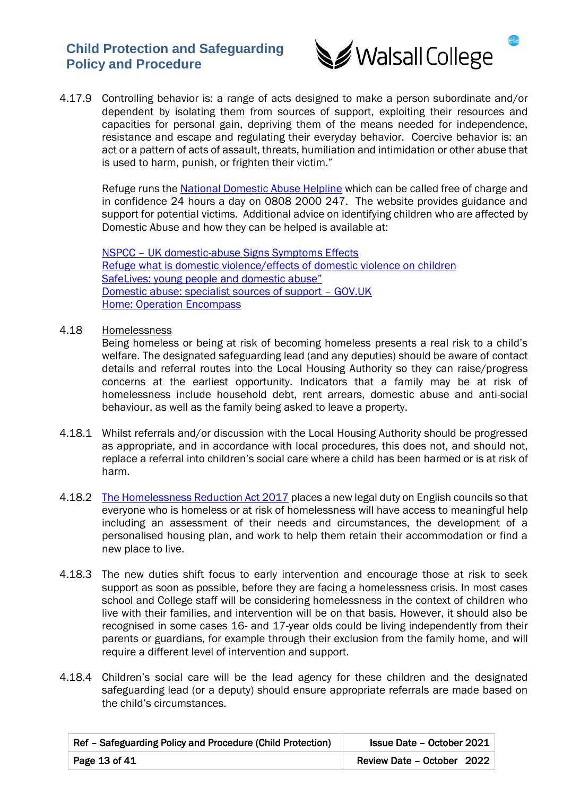

4.17.9 Controlling behavior is: a range of acts designed to make a person subordinate and/or dependent by isolating them from sources of support, exploiting their resources and capacities for personal gain, depriving them of the means needed for independence, resistance and escape and regulating their everyday behavior. Coercive behavior is: an act or a pattern of acts of assault, threats, humiliation and intimidation or other abuse that is used to harm, punish, or frighten their victim."

Refuge runs the [National Domestic Abuse Helpline](https://www.nationaldahelpline.org.uk/) which can be called free of charge and in confidence 24 hours a day on 0808 2000 247. The website provides guidance and support for potential victims. Additional advice on identifying children who are affected by Domestic Abuse and how they can be helped is available at:

NSPCC – [UK domestic-abuse Signs Symptoms Effects](https://www.nspcc.org.uk/what-is-child-abuse/types-of-abuse/domestic-abuse/) [Refuge what is domestic violence/effects of domestic violence on children](https://www.refuge.org.uk/our-work/forms-of-violence-and-abuse/domestic-violence/effects-of-domestic-violence-on-women/) [SafeLives: young people and domestic abuse"](http://safelives.org.uk/sites/default/files/resources/Safe%20Young%20Lives%20web.pdf) [Domestic abuse: specialist sources of support](https://www.gov.uk/government/publications/domestic-abuse-get-help-for-specific-needs-or-situations/domestic-abuse-specialist-sources-of-support) – GOV.UK [Home: Operation Encompass](https://www.operationencompass.org/)

4.18 Homelessness

Being homeless or being at risk of becoming homeless presents a real risk to a child's welfare. The designated safeguarding lead (and any deputies) should be aware of contact details and referral routes into the Local Housing Authority so they can raise/progress concerns at the earliest opportunity. Indicators that a family may be at risk of homelessness include household debt, rent arrears, domestic abuse and anti-social behaviour, as well as the family being asked to leave a property.

- 4.18.1 Whilst referrals and/or discussion with the Local Housing Authority should be progressed as appropriate, and in accordance with local procedures, this does not, and should not, replace a referral into children's social care where a child has been harmed or is at risk of harm.
- 4.18.2 [The Homelessness Reduction Act 2017](https://www.legislation.gov.uk/ukpga/2017/13/contents/enacted) places a new legal duty on English councils so that everyone who is homeless or at risk of homelessness will have access to meaningful help including an assessment of their needs and circumstances, the development of a personalised housing plan, and work to help them retain their accommodation or find a new place to live.
- 4.18.3 The new duties shift focus to early intervention and encourage those at risk to seek support as soon as possible, before they are facing a homelessness crisis. In most cases school and College staff will be considering homelessness in the context of children who live with their families, and intervention will be on that basis. However, it should also be recognised in some cases 16- and 17-year olds could be living independently from their parents or guardians, for example through their exclusion from the family home, and will require a different level of intervention and support.
- 4.18.4 Children's social care will be the lead agency for these children and the designated safeguarding lead (or a deputy) should ensure appropriate referrals are made based on the child's circumstances.

| Ref - Safeguarding Policy and Procedure (Child Protection)<br><b>Issue Date - October 2021</b> |                            |
|------------------------------------------------------------------------------------------------|----------------------------|
| Page 13 of 41                                                                                  | Review Date - October 2022 |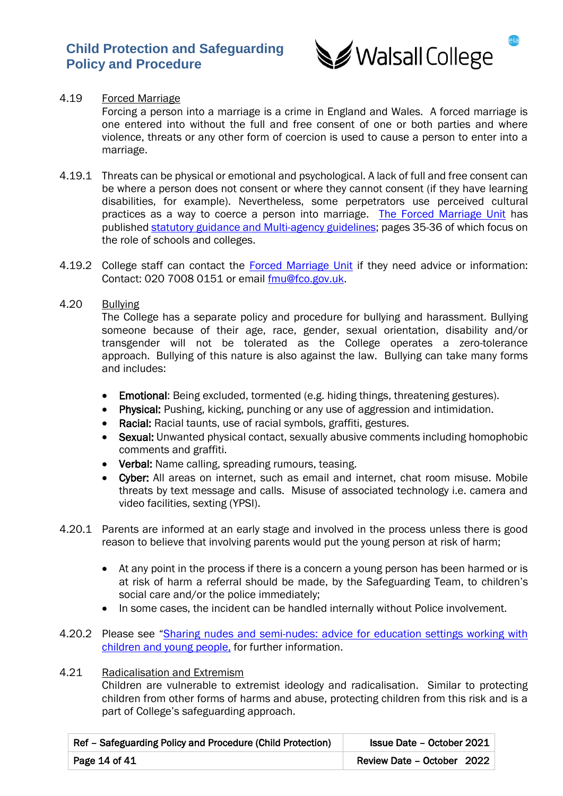

## 4.19 Forced Marriage

Forcing a person into a marriage is a crime in England and Wales. A forced marriage is one entered into without the full and free consent of one or both parties and where violence, threats or any other form of coercion is used to cause a person to enter into a marriage.

- 4.19.1 Threats can be physical or emotional and psychological. A lack of full and free consent can be where a person does not consent or where they cannot consent (if they have learning disabilities, for example). Nevertheless, some perpetrators use perceived cultural practices as a way to coerce a person into marriage. [The Forced Marriage Unit](https://www.gov.uk/guidance/forced-marriage) has published [statutory guidance and Multi-agency guidelines;](https://assets.publishing.service.gov.uk/government/uploads/system/uploads/attachment_data/file/322307/HMG_MULTI_AGENCY_PRACTICE_GUIDELINES_v1_180614_FINAL.pdf) pages 35-36 of which focus on the role of schools and colleges.
- 4.19.2 College staff can contact the [Forced Marriage Unit](https://www.gov.uk/guidance/forced-marriage) if they need advice or information: Contact: 020 7008 0151 or email [fmu@fco.gov.uk.](mailto:fmu@fco.gov.uk)
- 4.20 Bullying

The College has a separate policy and procedure for bullying and harassment. Bullying someone because of their age, race, gender, sexual orientation, disability and/or transgender will not be tolerated as the College operates a zero-tolerance approach. Bullying of this nature is also against the law. Bullying can take many forms and includes:

- Emotional: Being excluded, tormented (e.g. hiding things, threatening gestures).
- Physical: Pushing, kicking, punching or any use of aggression and intimidation.
- Racial: Racial taunts, use of racial symbols, graffiti, gestures.
- Sexual: Unwanted physical contact, sexually abusive comments including homophobic comments and graffiti.
- Verbal: Name calling, spreading rumours, teasing.
- Cyber: All areas on internet, such as email and internet, chat room misuse. Mobile threats by text message and calls. Misuse of associated technology i.e. camera and video facilities, sexting (YPSI).
- 4.20.1 Parents are informed at an early stage and involved in the process unless there is good reason to believe that involving parents would put the young person at risk of harm;
	- At any point in the process if there is a concern a young person has been harmed or is at risk of harm a referral should be made, by the Safeguarding Team, to children's social care and/or the police immediately;
	- In some cases, the incident can be handled internally without Police involvement.
- 4.20.2 Please see "Sharing nudes and semi-nudes: advice for education settings working with [children and young people,](https://www.gov.uk/government/publications/sharing-nudes-and-semi-nudes-advice-for-education-settings-working-with-children-and-young-people) for further information.

# 4.21 Radicalisation and Extremism

Children are vulnerable to extremist ideology and radicalisation. Similar to protecting children from other forms of harms and abuse, protecting children from this risk and is a part of College's safeguarding approach.

| Ref - Safeguarding Policy and Procedure (Child Protection)<br>Issue Date - October 2021 |                            |
|-----------------------------------------------------------------------------------------|----------------------------|
| Page 14 of 41                                                                           | Review Date - October 2022 |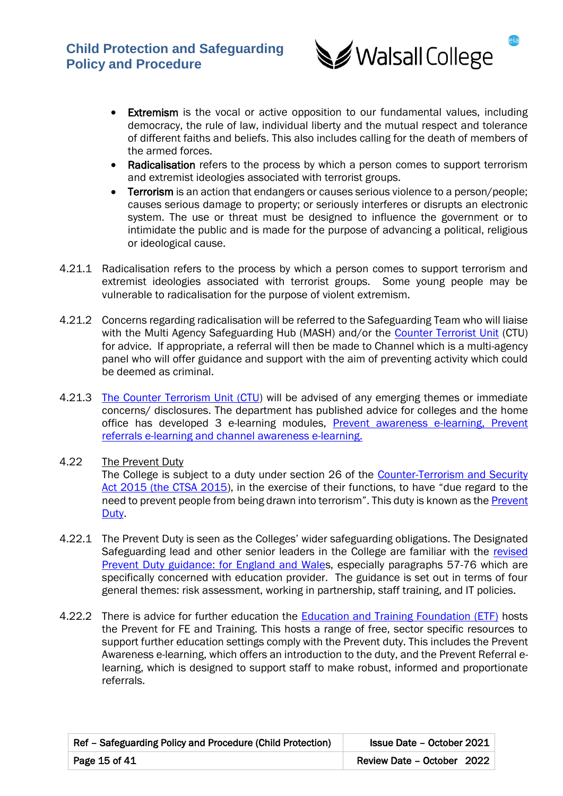

- Extremism is the vocal or active opposition to our fundamental values, including democracy, the rule of law, individual liberty and the mutual respect and tolerance of different faiths and beliefs. This also includes calling for the death of members of the armed forces.
- Radicalisation refers to the process by which a person comes to support terrorism and extremist ideologies associated with terrorist groups.
- Terrorism is an action that endangers or causes serious violence to a person/people; causes serious damage to property; or seriously interferes or disrupts an electronic system. The use or threat must be designed to influence the government or to intimidate the public and is made for the purpose of advancing a political, religious or ideological cause.
- 4.21.1 Radicalisation refers to the process by which a person comes to support terrorism and extremist ideologies associated with terrorist groups. Some young people may be vulnerable to radicalisation for the purpose of violent extremism.
- 4.21.2 Concerns regarding radicalisation will be referred to the Safeguarding Team who will liaise with the Multi Agency Safeguarding Hub (MASH) and/or the [Counter Terrorist Unit](https://www.gov.uk/government/organisations/national-counter-terrorism-security-office) (CTU) for advice. If appropriate, a referral will then be made to Channel which is a multi-agency panel who will offer guidance and support with the aim of preventing activity which could be deemed as criminal.
- 4.21.3 [The Counter Terrorism Unit \(CTU\)](https://www.gov.uk/government/organisations/national-counter-terrorism-security-office) will be advised of any emerging themes or immediate concerns/ disclosures. The department has published advice for colleges and the home office has developed 3 e-learning modules, [Prevent awareness e-learning, Prevent](https://www.elearning.prevent.homeoffice.gov.uk/la2/screen1.html)  [referrals e-learning and channel awareness e-learning.](https://www.elearning.prevent.homeoffice.gov.uk/la2/screen1.html)

## 4.22 The Prevent Duty The College is subject to a duty under section 26 of the [Counter-Terrorism and Security](https://www.gov.uk/government/collections/counter-terrorism-and-security-bill)  [Act 2015 \(the CTSA 2015](https://www.gov.uk/government/collections/counter-terrorism-and-security-bill)), in the exercise of their functions, to have "due regard to the need to prevent people from being drawn into terrorism". This duty is known as the **Prevent** [Duty.](https://www.gov.uk/government/publications/prevent-duty-guidance)

- 4.22.1 The Prevent Duty is seen as the Colleges' wider safeguarding obligations. The Designated Safeguarding lead and other senior leaders in the College are familiar with the revised [Prevent Duty guidance: for England and Wales](https://www.gov.uk/government/publications/prevent-duty-guidance), especially paragraphs 57-76 which are specifically concerned with education provider. The guidance is set out in terms of four general themes: risk assessment, working in partnership, staff training, and IT policies.
- 4.22.2 There is advice for further education the **Education and Training Foundation (ETF)** hosts the Prevent for FE and Training. This hosts a range of free, sector specific resources to support further education settings comply with the Prevent duty. This includes the Prevent Awareness e-learning, which offers an introduction to the duty, and the Prevent Referral elearning, which is designed to support staff to make robust, informed and proportionate referrals.

| Ref - Safeguarding Policy and Procedure (Child Protection)<br>Issue Date - October 2021 |                            |
|-----------------------------------------------------------------------------------------|----------------------------|
| Page 15 of 41                                                                           | Review Date - October 2022 |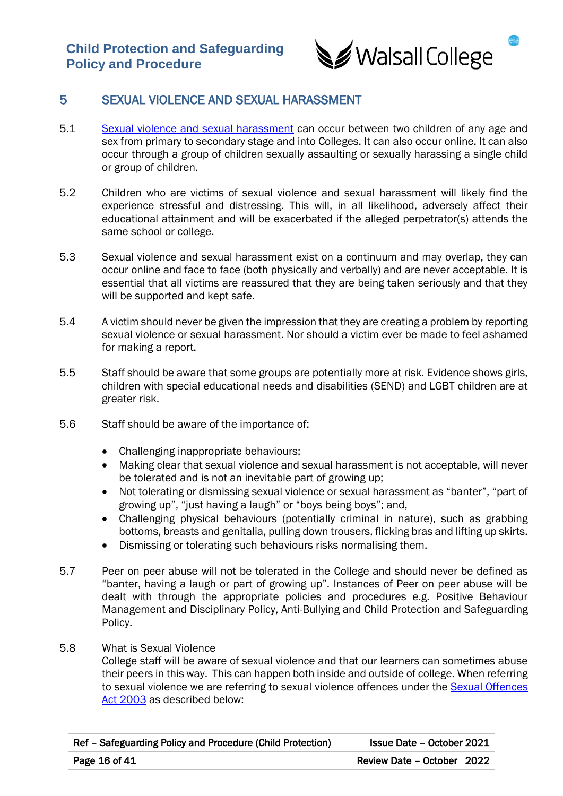

# 5 SEXUAL VIOLENCE AND SEXUAL HARASSMENT

- 5.1 [Sexual violence and sexual harassment](https://assets.publishing.service.gov.uk/government/uploads/system/uploads/attachment_data/file/1014224/Sexual_violence_and_sexual_harassment_between_children_in_schools_and_colleges.pdf) can occur between two children of any age and sex from primary to secondary stage and into Colleges. It can also occur online. It can also occur through a group of children sexually assaulting or sexually harassing a single child or group of children.
- 5.2 Children who are victims of sexual violence and sexual harassment will likely find the experience stressful and distressing. This will, in all likelihood, adversely affect their educational attainment and will be exacerbated if the alleged perpetrator(s) attends the same school or college.
- 5.3 Sexual violence and sexual harassment exist on a continuum and may overlap, they can occur online and face to face (both physically and verbally) and are never acceptable. It is essential that all victims are reassured that they are being taken seriously and that they will be supported and kept safe.
- 5.4 A victim should never be given the impression that they are creating a problem by reporting sexual violence or sexual harassment. Nor should a victim ever be made to feel ashamed for making a report.
- 5.5 Staff should be aware that some groups are potentially more at risk. Evidence shows girls, children with special educational needs and disabilities (SEND) and LGBT children are at greater risk.
- 5.6 Staff should be aware of the importance of:
	- Challenging inappropriate behaviours;
	- Making clear that sexual violence and sexual harassment is not acceptable, will never be tolerated and is not an inevitable part of growing up;
	- Not tolerating or dismissing sexual violence or sexual harassment as "banter", "part of growing up", "just having a laugh" or "boys being boys"; and,
	- Challenging physical behaviours (potentially criminal in nature), such as grabbing bottoms, breasts and genitalia, pulling down trousers, flicking bras and lifting up skirts.
	- Dismissing or tolerating such behaviours risks normalising them.
- 5.7 Peer on peer abuse will not be tolerated in the College and should never be defined as "banter, having a laugh or part of growing up". Instances of Peer on peer abuse will be dealt with through the appropriate policies and procedures e.g. Positive Behaviour Management and Disciplinary Policy, Anti-Bullying and Child Protection and Safeguarding Policy.
- 5.8 What is Sexual Violence

College staff will be aware of sexual violence and that our learners can sometimes abuse their peers in this way. This can happen both inside and outside of college. When referring to sexual violence we are referring to sexual violence offences under the **Sexual Offences** [Act 2003](https://www.legislation.gov.uk/ukpga/2003/42/contents) as described below:

| Ref - Safeguarding Policy and Procedure (Child Protection)<br><b>Issue Date - October 2021</b> |                            |
|------------------------------------------------------------------------------------------------|----------------------------|
| Page 16 of 41                                                                                  | Review Date - October 2022 |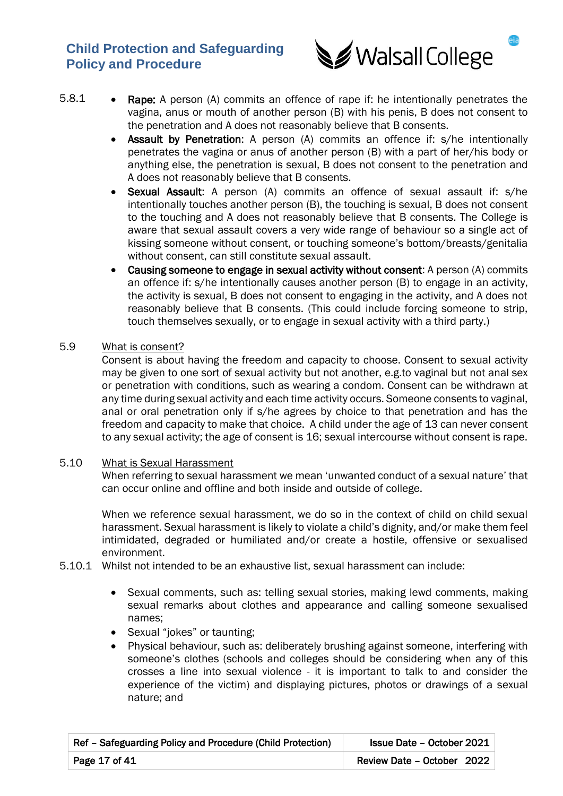

- 5.8.1 Rape: A person (A) commits an offence of rape if: he intentionally penetrates the vagina, anus or mouth of another person (B) with his penis, B does not consent to the penetration and A does not reasonably believe that B consents.
	- Assault by Penetration: A person (A) commits an offence if: s/he intentionally penetrates the vagina or anus of another person (B) with a part of her/his body or anything else, the penetration is sexual, B does not consent to the penetration and A does not reasonably believe that B consents.
	- Sexual Assault: A person (A) commits an offence of sexual assault if: s/he intentionally touches another person (B), the touching is sexual, B does not consent to the touching and A does not reasonably believe that B consents. The College is aware that sexual assault covers a very wide range of behaviour so a single act of kissing someone without consent, or touching someone's bottom/breasts/genitalia without consent, can still constitute sexual assault.
	- Causing someone to engage in sexual activity without consent: A person (A) commits an offence if: s/he intentionally causes another person (B) to engage in an activity, the activity is sexual, B does not consent to engaging in the activity, and A does not reasonably believe that B consents. (This could include forcing someone to strip, touch themselves sexually, or to engage in sexual activity with a third party.)

### 5.9 What is consent?

Consent is about having the freedom and capacity to choose. Consent to sexual activity may be given to one sort of sexual activity but not another, e.g.to vaginal but not anal sex or penetration with conditions, such as wearing a condom. Consent can be withdrawn at any time during sexual activity and each time activity occurs. Someone consents to vaginal, anal or oral penetration only if s/he agrees by choice to that penetration and has the freedom and capacity to make that choice. A child under the age of 13 can never consent to any sexual activity; the age of consent is 16; sexual intercourse without consent is rape.

### 5.10 What is Sexual Harassment

When referring to sexual harassment we mean 'unwanted conduct of a sexual nature' that can occur online and offline and both inside and outside of college.

When we reference sexual harassment, we do so in the context of child on child sexual harassment. Sexual harassment is likely to violate a child's dignity, and/or make them feel intimidated, degraded or humiliated and/or create a hostile, offensive or sexualised environment.

- 5.10.1 Whilst not intended to be an exhaustive list, sexual harassment can include:
	- Sexual comments, such as: telling sexual stories, making lewd comments, making sexual remarks about clothes and appearance and calling someone sexualised names;
	- Sexual "jokes" or taunting;
	- Physical behaviour, such as: deliberately brushing against someone, interfering with someone's clothes (schools and colleges should be considering when any of this crosses a line into sexual violence - it is important to talk to and consider the experience of the victim) and displaying pictures, photos or drawings of a sexual nature; and

| Ref - Safeguarding Policy and Procedure (Child Protection)<br><b>Issue Date - October 2021</b> |                            |
|------------------------------------------------------------------------------------------------|----------------------------|
| Page 17 of 41                                                                                  | Review Date - October 2022 |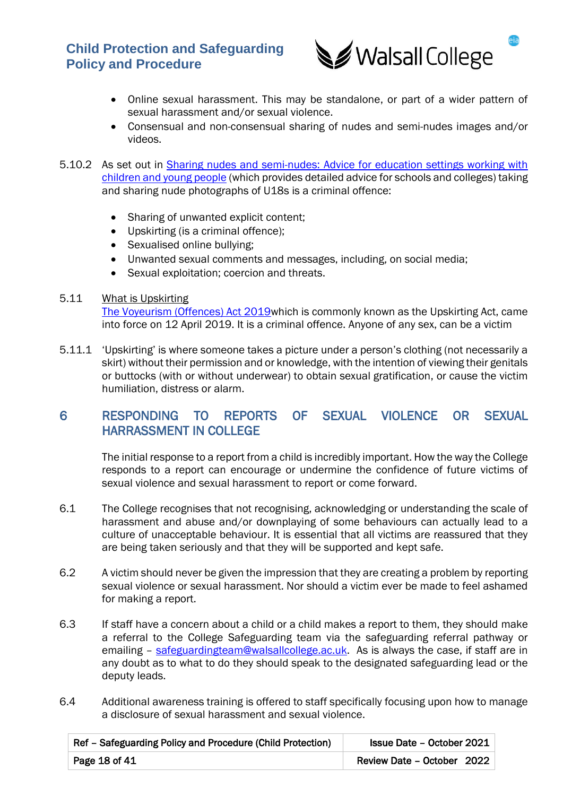

- Online sexual harassment. This may be standalone, or part of a wider pattern of sexual harassment and/or sexual violence.
- Consensual and non-consensual sharing of nudes and semi-nudes images and/or videos.
- 5.10.2 As set out in [Sharing nudes and semi-nudes: Advice for education settings working with](https://www.gov.uk/government/publications/sharing-nudes-and-semi-nudes-advice-for-education-settings-working-with-children-and-young-people)  [children and young people](https://www.gov.uk/government/publications/sharing-nudes-and-semi-nudes-advice-for-education-settings-working-with-children-and-young-people) (which provides detailed advice for schools and colleges) taking and sharing nude photographs of U18s is a criminal offence:
	- Sharing of unwanted explicit content;
	- Upskirting (is a criminal offence);
	- Sexualised online bullying;
	- Unwanted sexual comments and messages, including, on social media;
	- Sexual exploitation; coercion and threats.

## 5.11 What is Upskirting

[The Voyeurism \(Offences\) Act 2019w](https://www.gov.uk/government/publications/implementation-of-the-voyeurism-offences-act-2019)hich is commonly known as the Upskirting Act, came into force on 12 April 2019. It is a criminal offence. Anyone of any sex, can be a victim

5.11.1 'Upskirting' is where someone takes a picture under a person's clothing (not necessarily a skirt) without their permission and or knowledge, with the intention of viewing their genitals or buttocks (with or without underwear) to obtain sexual gratification, or cause the victim humiliation, distress or alarm.

# 6 RESPONDING TO REPORTS OF SEXUAL VIOLENCE OR SEXUAL HARRASSMENT IN COLLEGE

 The initial response to a report from a child is incredibly important. How the way the College responds to a report can encourage or undermine the confidence of future victims of sexual violence and sexual harassment to report or come forward.

- 6.1 The College recognises that not recognising, acknowledging or understanding the scale of harassment and abuse and/or downplaying of some behaviours can actually lead to a culture of unacceptable behaviour. It is essential that all victims are reassured that they are being taken seriously and that they will be supported and kept safe.
- 6.2 A victim should never be given the impression that they are creating a problem by reporting sexual violence or sexual harassment. Nor should a victim ever be made to feel ashamed for making a report.
- 6.3 If staff have a concern about a child or a child makes a report to them, they should make a referral to the College Safeguarding team via the safeguarding referral pathway or emailing – [safeguardingteam@walsallcollege.ac.uk.](mailto:safeguardingteam@walsallcollege.ac.uk) As is always the case, if staff are in any doubt as to what to do they should speak to the designated safeguarding lead or the deputy leads.
- 6.4 Additional awareness training is offered to staff specifically focusing upon how to manage a disclosure of sexual harassment and sexual violence.

| Ref - Safeguarding Policy and Procedure (Child Protection)<br><b>Issue Date - October 2021</b> |                            |
|------------------------------------------------------------------------------------------------|----------------------------|
| Page 18 of 41                                                                                  | Review Date - October 2022 |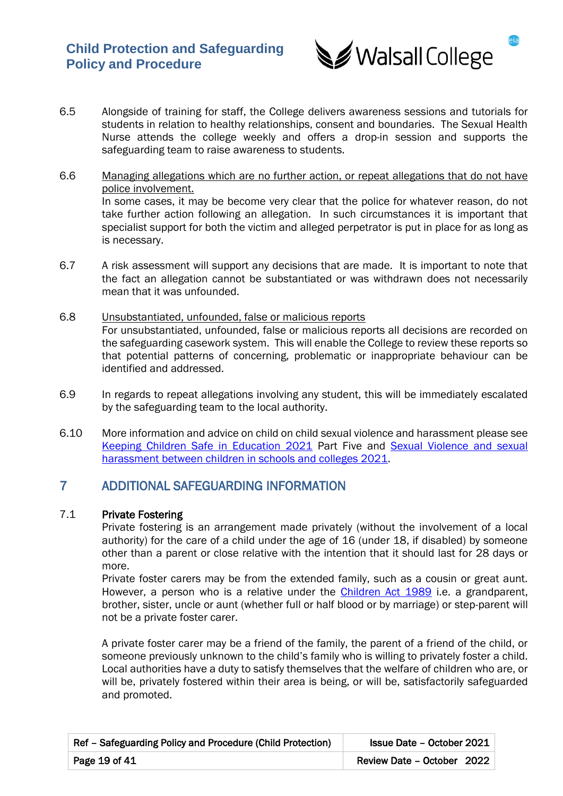

- 6.5 Alongside of training for staff, the College delivers awareness sessions and tutorials for students in relation to healthy relationships, consent and boundaries. The Sexual Health Nurse attends the college weekly and offers a drop-in session and supports the safeguarding team to raise awareness to students.
- 6.6 Managing allegations which are no further action, or repeat allegations that do not have police involvement. In some cases, it may be become very clear that the police for whatever reason, do not take further action following an allegation. In such circumstances it is important that specialist support for both the victim and alleged perpetrator is put in place for as long as is necessary.
- 6.7 A risk assessment will support any decisions that are made. It is important to note that the fact an allegation cannot be substantiated or was withdrawn does not necessarily mean that it was unfounded.
- 6.8 Unsubstantiated, unfounded, false or malicious reports For unsubstantiated, unfounded, false or malicious reports all decisions are recorded on the safeguarding casework system. This will enable the College to review these reports so that potential patterns of concerning, problematic or inappropriate behaviour can be identified and addressed.
- 6.9 In regards to repeat allegations involving any student, this will be immediately escalated by the safeguarding team to the local authority.
- 6.10 More information and advice on child on child sexual violence and harassment please see [Keeping Children Safe in Education 2021](https://assets.publishing.service.gov.uk/government/uploads/system/uploads/attachment_data/file/1021914/KCSIE_2021_September_guidance.pdf) Part Five and [Sexual Violence and sexual](https://www.gov.uk/government/publications/sexual-violence-and-sexual-harassment-between-children-in-schools-and-colleges)  [harassment between children in schools and colleges](https://www.gov.uk/government/publications/sexual-violence-and-sexual-harassment-between-children-in-schools-and-colleges) 2021.

# 7 ADDITIONAL SAFEGUARDING INFORMATION

# 7.1 Private Fostering

Private fostering is an arrangement made privately (without the involvement of a local authority) for the care of a child under the age of 16 (under 18, if disabled) by someone other than a parent or close relative with the intention that it should last for 28 days or more.

Private foster carers may be from the extended family, such as a cousin or great aunt. However, a person who is a relative under the [Children Act 1989](https://www.legislation.gov.uk/ukpga/1989/41/contents) i.e. a grandparent, brother, sister, uncle or aunt (whether full or half blood or by marriage) or step-parent will not be a private foster carer.

A private foster carer may be a friend of the family, the parent of a friend of the child, or someone previously unknown to the child's family who is willing to privately foster a child. Local authorities have a duty to satisfy themselves that the welfare of children who are, or will be, privately fostered within their area is being, or will be, satisfactorily safeguarded and promoted.

| Ref - Safeguarding Policy and Procedure (Child Protection)<br>Issue Date - October 2021 |                            |
|-----------------------------------------------------------------------------------------|----------------------------|
| Page 19 of 41                                                                           | Review Date - October 2022 |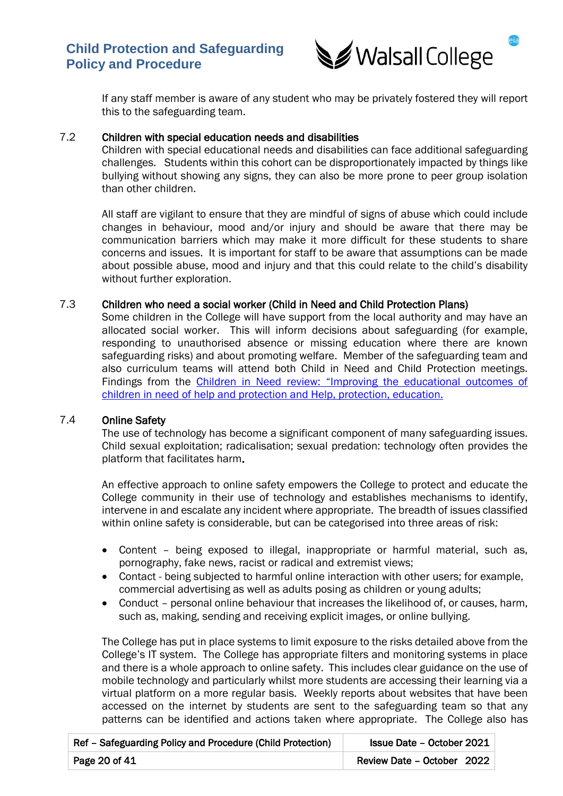

If any staff member is aware of any student who may be privately fostered they will report this to the safeguarding team.

### 7.2 Children with special education needs and disabilities

Children with special educational needs and disabilities can face additional safeguarding challenges. Students within this cohort can be disproportionately impacted by things like bullying without showing any signs, they can also be more prone to peer group isolation than other children.

All staff are vigilant to ensure that they are mindful of signs of abuse which could include changes in behaviour, mood and/or injury and should be aware that there may be communication barriers which may make it more difficult for these students to share concerns and issues. It is important for staff to be aware that assumptions can be made about possible abuse, mood and injury and that this could relate to the child's disability without further exploration.

### 7.3 Children who need a social worker (Child in Need and Child Protection Plans)

Some children in the College will have support from the local authority and may have an allocated social worker. This will inform decisions about safeguarding (for example, responding to unauthorised absence or missing education where there are known safeguarding risks) and about promoting welfare. Member of the safeguarding team and also curriculum teams will attend both Child in Need and Child Protection meetings. Findings from the Children in Need review: "Improving the educational outcomes of [children in need of help and protection and Help, protection, education.](https://www.gov.uk/government/publications/review-of-children-in-need/review-of-children-in-need) 

## 7.4 Online Safety

The use of technology has become a significant component of many safeguarding issues. Child sexual exploitation; radicalisation; sexual predation: technology often provides the platform that facilitates harm.

An effective approach to online safety empowers the College to protect and educate the College community in their use of technology and establishes mechanisms to identify, intervene in and escalate any incident where appropriate. The breadth of issues classified within online safety is considerable, but can be categorised into three areas of risk:

- Content being exposed to illegal, inappropriate or harmful material, such as, pornography, fake news, racist or radical and extremist views;
- Contact being subjected to harmful online interaction with other users; for example, commercial advertising as well as adults posing as children or young adults;
- Conduct personal online behaviour that increases the likelihood of, or causes, harm, such as, making, sending and receiving explicit images, or online bullying.

The College has put in place systems to limit exposure to the risks detailed above from the College's IT system. The College has appropriate filters and monitoring systems in place and there is a whole approach to online safety. This includes clear guidance on the use of mobile technology and particularly whilst more students are accessing their learning via a virtual platform on a more regular basis. Weekly reports about websites that have been accessed on the internet by students are sent to the safeguarding team so that any patterns can be identified and actions taken where appropriate. The College also has

| Ref - Safeguarding Policy and Procedure (Child Protection) | <b>Issue Date - October 2021</b> |
|------------------------------------------------------------|----------------------------------|
| Page 20 of 41                                              | Review Date - October 2022       |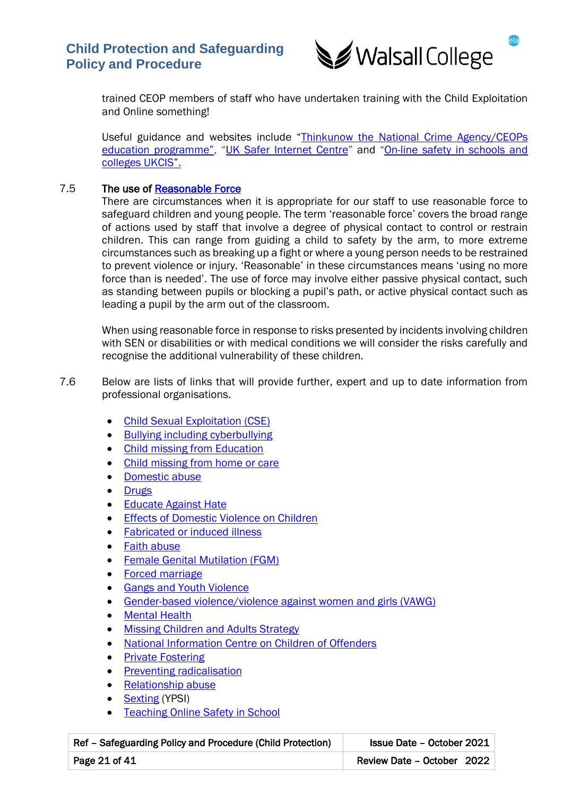

trained CEOP members of staff who have undertaken training with the Child Exploitation and Online something!

Useful guidance and websites include "[Thinkunow the National Crime Agency/CEOPs](https://www.thinkuknow.co.uk/parents/who-are-we/)  [education programme",](https://www.thinkuknow.co.uk/parents/who-are-we/) "[UK Safer Internet Centre](https://www.saferinternet.org.uk/)" and "[On-line safety in schools and](https://www.gov.uk/government/groups/uk-council-for-child-internet-safety-ukccis)  [colleges UKCIS".](https://www.gov.uk/government/groups/uk-council-for-child-internet-safety-ukccis) 

## 7.5 The use of [Reasonable Force](https://www.gov.uk/government/publications/use-of-reasonable-force-in-schools)

There are circumstances when it is appropriate for our staff to use reasonable force to safeguard children and young people. The term 'reasonable force' covers the broad range of actions used by staff that involve a degree of physical contact to control or restrain children. This can range from guiding a child to safety by the arm, to more extreme circumstances such as breaking up a fight or where a young person needs to be restrained to prevent violence or injury. 'Reasonable' in these circumstances means 'using no more force than is needed'. The use of force may involve either passive physical contact, such as standing between pupils or blocking a pupil's path, or active physical contact such as leading a pupil by the arm out of the classroom.

When using reasonable force in response to risks presented by incidents involving children with SEN or disabilities or with medical conditions we will consider the risks carefully and recognise the additional vulnerability of these children.

7.6 Below are lists of links that will provide further, expert and up to date information from professional organisations.

- [Child Sexual Exploitation \(CSE\)](https://www.gov.uk/government/publications/child-sexual-exploitation-definition-and-guide-for-practitioners)
- [Bullying including cyberbullying](https://www.gov.uk/government/publications/preventing-and-tackling-bullying)
- [Child missing from](https://www.gov.uk/government/publications/children-missing-education) Education
- [Child missing from home or care](https://www.gov.uk/government/publications/children-who-run-away-or-go-missing-from-home-or-care)
- [Domestic](https://www.nspcc.org.uk/what-is-child-abuse/types-of-abuse/domestic-abuse/) abuse
- [Drugs](https://www.gov.uk/government/publications/drugs-advice-for-schools)
- [Educate Against Hate](https://educateagainsthate.com/)
- [Effects of Domestic Violence on Children](http://www.refuge.org.uk/get-help-now/support-for-women/what-about-my-children/)
- [Fabricated or induced illness](https://www.gov.uk/government/publications/safeguarding-children-in-whom-illness-is-fabricated-or-induced)
- [Faith abuse](https://www.gov.uk/government/publications/national-action-plan-to-tackle-child-abuse-linked-to-faith-or-belief)
- [Female Genital Mutilation \(FGM\)](https://www.gov.uk/government/publications/multi-agency-statutory-guidance-on-female-genital-mutilation)
- [Forced marriage](https://www.gov.uk/forced-marriage)
- [Gangs and Youth Violence](https://assets.publishing.service.gov.uk/government/uploads/system/uploads/attachment_data/file/418131/Preventing_youth_violence_and_gang_involvement_v3_March2015.pdf)
- [Gender-based violence/violence against women and girls \(VAWG\)](https://www.gov.uk/government/policies/ending-violence-against-women-and-girls-in-the-uk)
- **[Mental Health](https://www.gov.uk/government/publications/mental-health-and-behaviour-in-schools--2)**
- [Missing Children and Adults Strategy](https://www.gov.uk/government/publications/missing-children-and-adults-strategy)
- [National Information Centre on Children of Offenders](https://www.nicco.org.uk/)
- [Private Fostering](https://www.gov.uk/government/publications/children-act-1989-private-fostering)
- [Preventing radicalisation](https://www.gov.uk/government/publications/prevent-duty-guidance)
- [Relationship abuse](https://www.disrespectnobody.co.uk/relationship-abuse/what-is-relationship-abuse/)
- [Sexting](https://www.disrespectnobody.co.uk/sexting/what-is-sexting/) (YPSI)
- **[Teaching Online Safety in School](https://assets.publishing.service.gov.uk/government/uploads/system/uploads/attachment_data/file/811796/Teaching_online_safety_in_school.pdf)**

| Ref - Safeguarding Policy and Procedure (Child Protection)<br><b>Issue Date - October 2021</b> |                            |
|------------------------------------------------------------------------------------------------|----------------------------|
| Page 21 of 41                                                                                  | Review Date - October 2022 |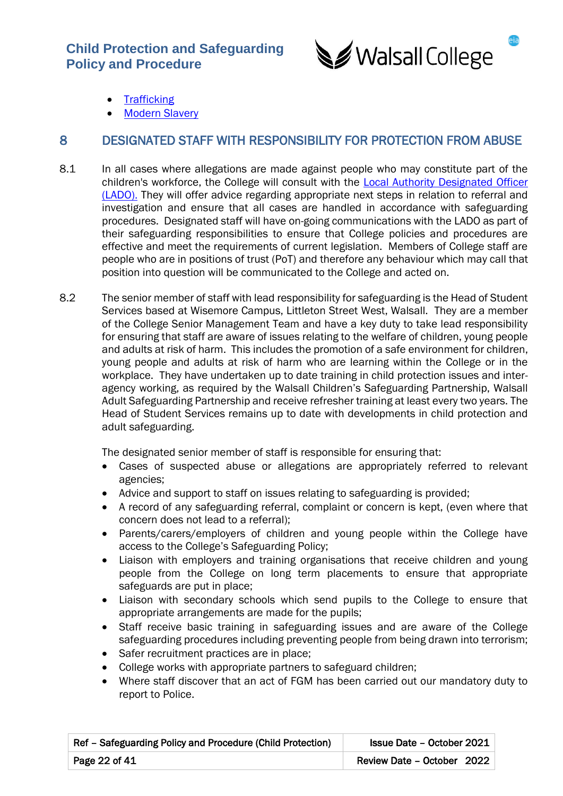

- **[Trafficking](https://www.gov.uk/government/publications/safeguarding-children-who-may-have-been-trafficked-practice-guidance)**
- **[Modern Slavery](https://www.gov.uk/government/collections/modern-slavery-bill)**

# 8 DESIGNATED STAFF WITH RESPONSIBILITY FOR PROTECTION FROM ABUSE

- 8.1 In all cases where allegations are made against people who may constitute part of the children's workforce, the College will consult with the [Local Authority Designated Officer](http://www.mywalsall.org/fis/safeguarding-in-walsall/)  [\(LADO\)](http://www.mywalsall.org/fis/safeguarding-in-walsall/). They will offer advice regarding appropriate next steps in relation to referral and investigation and ensure that all cases are handled in accordance with safeguarding procedures. Designated staff will have on-going communications with the LADO as part of their safeguarding responsibilities to ensure that College policies and procedures are effective and meet the requirements of current legislation. Members of College staff are people who are in positions of trust (PoT) and therefore any behaviour which may call that position into question will be communicated to the College and acted on.
- 8.2 The senior member of staff with lead responsibility for safeguarding is the Head of Student Services based at Wisemore Campus, Littleton Street West, Walsall. They are a member of the College Senior Management Team and have a key duty to take lead responsibility for ensuring that staff are aware of issues relating to the welfare of children, young people and adults at risk of harm. This includes the promotion of a safe environment for children, young people and adults at risk of harm who are learning within the College or in the workplace. They have undertaken up to date training in child protection issues and interagency working, as required by the Walsall Children's Safeguarding Partnership, Walsall Adult Safeguarding Partnership and receive refresher training at least every two years. The Head of Student Services remains up to date with developments in child protection and adult safeguarding.

The designated senior member of staff is responsible for ensuring that:

- Cases of suspected abuse or allegations are appropriately referred to relevant agencies;
- Advice and support to staff on issues relating to safeguarding is provided;
- A record of any safeguarding referral, complaint or concern is kept, (even where that concern does not lead to a referral);
- Parents/carers/employers of children and young people within the College have access to the College's Safeguarding Policy;
- Liaison with employers and training organisations that receive children and young people from the College on long term placements to ensure that appropriate safeguards are put in place;
- Liaison with secondary schools which send pupils to the College to ensure that appropriate arrangements are made for the pupils;
- Staff receive basic training in safeguarding issues and are aware of the College safeguarding procedures including preventing people from being drawn into terrorism;
- Safer recruitment practices are in place;
- College works with appropriate partners to safeguard children;
- Where staff discover that an act of FGM has been carried out our mandatory duty to report to Police.

| Ref - Safeguarding Policy and Procedure (Child Protection)<br><b>Issue Date - October 2021</b> |                            |
|------------------------------------------------------------------------------------------------|----------------------------|
| Page 22 of 41                                                                                  | Review Date - October 2022 |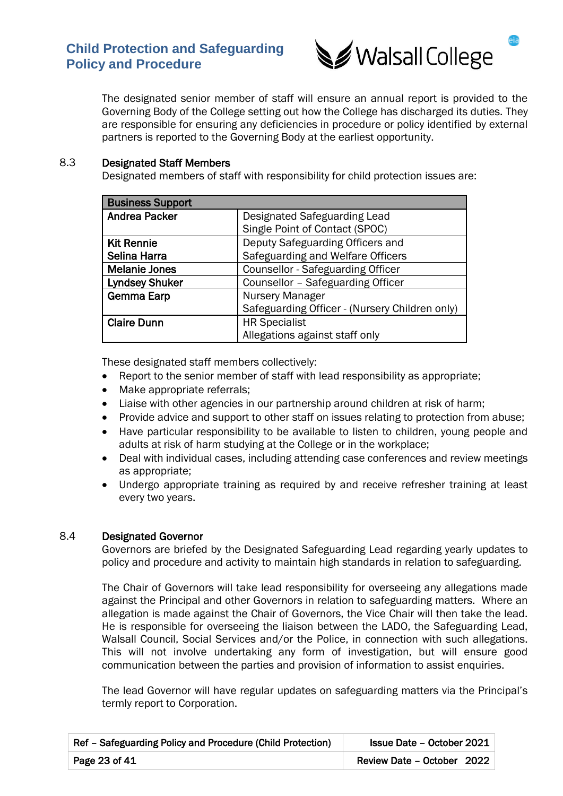

The designated senior member of staff will ensure an annual report is provided to the Governing Body of the College setting out how the College has discharged its duties. They are responsible for ensuring any deficiencies in procedure or policy identified by external partners is reported to the Governing Body at the earliest opportunity.

### 8.3 Designated Staff Members

Designated members of staff with responsibility for child protection issues are:

| <b>Business Support</b> |                                                |
|-------------------------|------------------------------------------------|
| <b>Andrea Packer</b>    | Designated Safeguarding Lead                   |
|                         | Single Point of Contact (SPOC)                 |
| <b>Kit Rennie</b>       | Deputy Safeguarding Officers and               |
| Selina Harra            | Safeguarding and Welfare Officers              |
| <b>Melanie Jones</b>    | <b>Counsellor - Safeguarding Officer</b>       |
| <b>Lyndsey Shuker</b>   | Counsellor - Safeguarding Officer              |
| <b>Gemma Earp</b>       | Nursery Manager                                |
|                         | Safeguarding Officer - (Nursery Children only) |
| <b>Claire Dunn</b>      | <b>HR Specialist</b>                           |
|                         | Allegations against staff only                 |

These designated staff members collectively:

- Report to the senior member of staff with lead responsibility as appropriate;
- Make appropriate referrals;
- Liaise with other agencies in our partnership around children at risk of harm;
- Provide advice and support to other staff on issues relating to protection from abuse;
- Have particular responsibility to be available to listen to children, young people and adults at risk of harm studying at the College or in the workplace;
- Deal with individual cases, including attending case conferences and review meetings as appropriate;
- Undergo appropriate training as required by and receive refresher training at least every two years.

### 8.4 Designated Governor

Governors are briefed by the Designated Safeguarding Lead regarding yearly updates to policy and procedure and activity to maintain high standards in relation to safeguarding.

The Chair of Governors will take lead responsibility for overseeing any allegations made against the Principal and other Governors in relation to safeguarding matters. Where an allegation is made against the Chair of Governors, the Vice Chair will then take the lead. He is responsible for overseeing the liaison between the LADO, the Safeguarding Lead, Walsall Council, Social Services and/or the Police, in connection with such allegations. This will not involve undertaking any form of investigation, but will ensure good communication between the parties and provision of information to assist enquiries.

The lead Governor will have regular updates on safeguarding matters via the Principal's termly report to Corporation.

| Ref - Safeguarding Policy and Procedure (Child Protection)<br><b>Issue Date - October 2021</b> |                            |
|------------------------------------------------------------------------------------------------|----------------------------|
| Page 23 of 41                                                                                  | Review Date - October 2022 |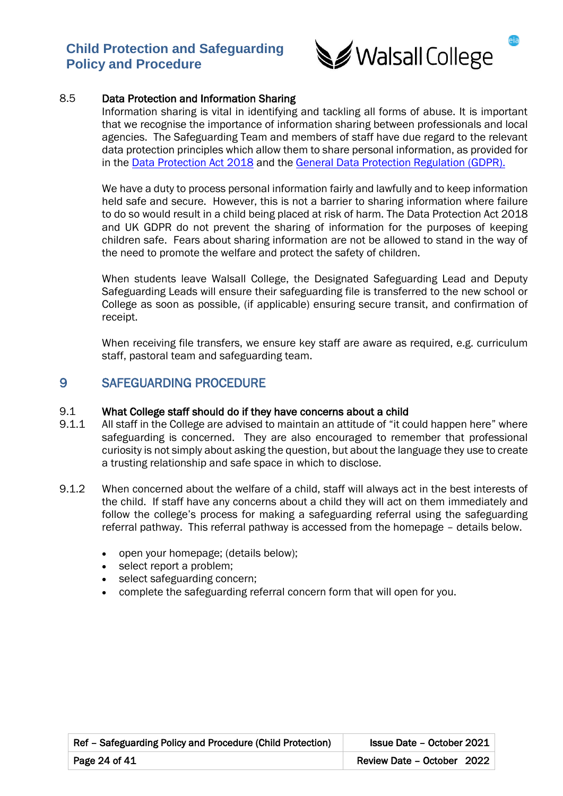

## 8.5 Data Protection and Information Sharing

Information sharing is vital in identifying and tackling all forms of abuse. It is important that we recognise the importance of information sharing between professionals and local agencies. The Safeguarding Team and members of staff have due regard to the relevant data protection principles which allow them to share personal information, as provided for in the [Data Protection Act 2018](https://www.legislation.gov.uk/ukpga/2018/12/contents/enacted) and the [General Data Protection Regulation \(GDPR\).](https://ico.org.uk/for-organisations/guide-to-data-protection/guide-to-the-general-data-protection-regulation-gdpr/)

We have a duty to process personal information fairly and lawfully and to keep information held safe and secure. However, this is not a barrier to sharing information where failure to do so would result in a child being placed at risk of harm. The Data Protection Act 2018 and UK GDPR do not prevent the sharing of information for the purposes of keeping children safe. Fears about sharing information are not be allowed to stand in the way of the need to promote the welfare and protect the safety of children.

When students leave Walsall College, the Designated Safeguarding Lead and Deputy Safeguarding Leads will ensure their safeguarding file is transferred to the new school or College as soon as possible, (if applicable) ensuring secure transit, and confirmation of receipt.

When receiving file transfers, we ensure key staff are aware as required, e.g. curriculum staff, pastoral team and safeguarding team.

# 9 SAFEGUARDING PROCEDURE

#### 9.1 What College staff should do if they have concerns about a child

- 9.1.1 All staff in the College are advised to maintain an attitude of "it could happen here" where safeguarding is concerned. They are also encouraged to remember that professional curiosity is not simply about asking the question, but about the language they use to create a trusting relationship and safe space in which to disclose.
- 9.1.2 When concerned about the welfare of a child, staff will always act in the best interests of the child. If staff have any concerns about a child they will act on them immediately and follow the college's process for making a safeguarding referral using the safeguarding referral pathway. This referral pathway is accessed from the homepage – details below.
	- open your homepage; (details below);
	- select report a problem;
	- select safeguarding concern;
	- complete the safeguarding referral concern form that will open for you.

| Ref - Safeguarding Policy and Procedure (Child Protection) | <b>Issue Date - October 2021</b> |
|------------------------------------------------------------|----------------------------------|
| Page 24 of 41                                              | Review Date - October 2022       |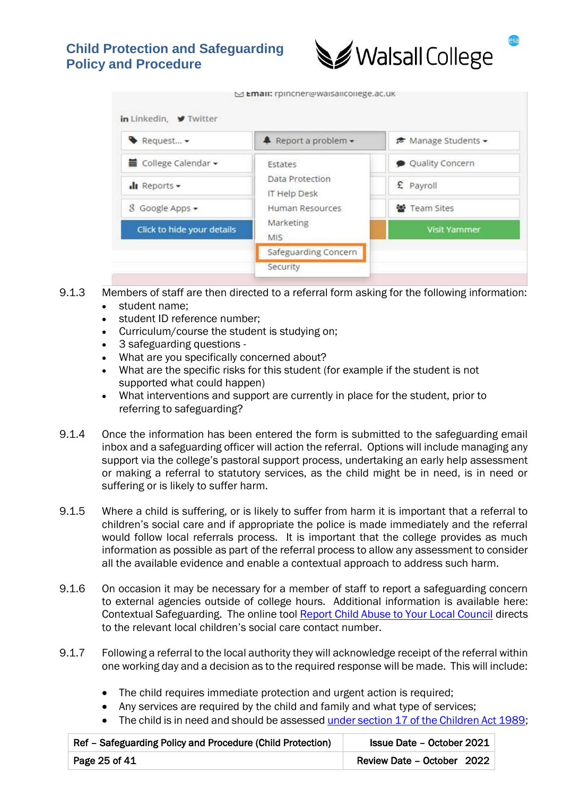

M Email: rpincher@waisalicollege.ac.uk

| Request -                  | $\triangle$ Report a problem $\sim$ | <del>■</del> Manage Students - |
|----------------------------|-------------------------------------|--------------------------------|
| ■ College Calendar –       | Estates                             | Quality Concern                |
| $\ln$ Reports $\sim$       | Data Protection<br>IT Help Desk     | £ Payroll                      |
| 8 Google Apps -            | Human Resources                     | 警 Team Sites                   |
| Click to hide your details | Marketing<br>MIS.                   | <b>Visit Yammer</b>            |
|                            | Safeguarding Concern                |                                |
|                            | Security                            |                                |

- 9.1.3 Members of staff are then directed to a referral form asking for the following information:
	- student name;
	- student ID reference number:
	- Curriculum/course the student is studying on;
	- 3 safeguarding questions -
	- What are you specifically concerned about?
	- What are the specific risks for this student (for example if the student is not supported what could happen)
	- What interventions and support are currently in place for the student, prior to referring to safeguarding?
- 9.1.4 Once the information has been entered the form is submitted to the safeguarding email inbox and a safeguarding officer will action the referral. Options will include managing any support via the college's pastoral support process, undertaking an early help assessment or making a referral to statutory services, as the child might be in need, is in need or suffering or is likely to suffer harm.
- 9.1.5 Where a child is suffering, or is likely to suffer from harm it is important that a referral to children's social care and if appropriate the police is made immediately and the referral would follow local referrals process. It is important that the college provides as much information as possible as part of the referral process to allow any assessment to consider all the available evidence and enable a contextual approach to address such harm.
- 9.1.6 On occasion it may be necessary for a member of staff to report a safeguarding concern to external agencies outside of college hours. Additional information is available here: Contextual Safeguarding. The online tool [Report Child Abuse to Your Local Council](https://www.gov.uk/report-child-abuse-to-local-council) directs to the relevant local children's social care contact number.
- 9.1.7 Following a referral to the local authority they will acknowledge receipt of the referral within one working day and a decision as to the required response will be made. This will include:
	- The child requires immediate protection and urgent action is required;
	- Any services are required by the child and family and what type of services;
	- The child is in need and should be assessed [under section 17 of the Children Act 1989;](https://www.legislation.gov.uk/ukpga/1989/41/section/17)

| Ref - Safeguarding Policy and Procedure (Child Protection) | <b>Issue Date - October 2021</b> |
|------------------------------------------------------------|----------------------------------|
| Page 25 of 41                                              | Review Date - October 2022       |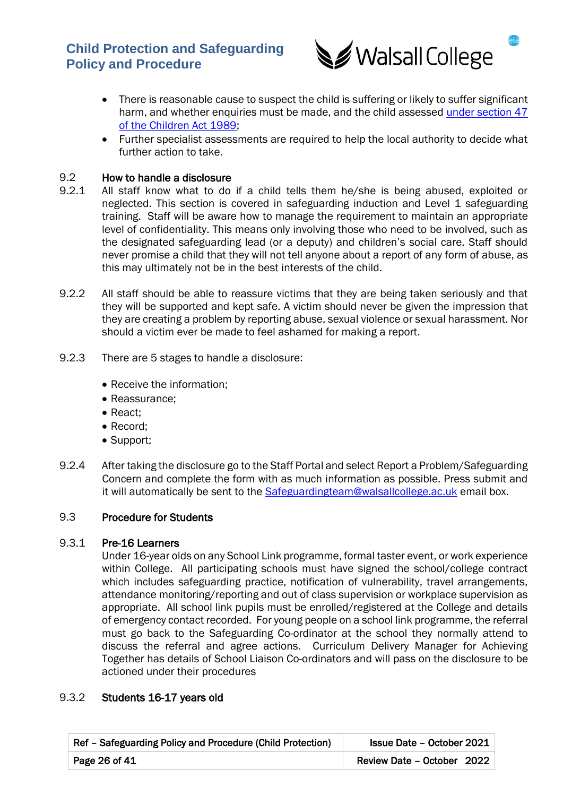

- There is reasonable cause to suspect the child is suffering or likely to suffer significant harm, and whether enquiries must be made, and the child assessed [under section 47](https://www.legislation.gov.uk/ukpga/1989/41/section/47)  [of the Children Act 1989;](https://www.legislation.gov.uk/ukpga/1989/41/section/47)
- Further specialist assessments are required to help the local authority to decide what further action to take.

# 9.2 How to handle a disclosure

- 9.2.1 All staff know what to do if a child tells them he/she is being abused, exploited or neglected. This section is covered in safeguarding induction and Level 1 safeguarding training. Staff will be aware how to manage the requirement to maintain an appropriate level of confidentiality. This means only involving those who need to be involved, such as the designated safeguarding lead (or a deputy) and children's social care. Staff should never promise a child that they will not tell anyone about a report of any form of abuse, as this may ultimately not be in the best interests of the child.
- 9.2.2 All staff should be able to reassure victims that they are being taken seriously and that they will be supported and kept safe. A victim should never be given the impression that they are creating a problem by reporting abuse, sexual violence or sexual harassment. Nor should a victim ever be made to feel ashamed for making a report.
- 9.2.3 There are 5 stages to handle a disclosure:
	- Receive the information;
	- Reassurance;
	- React;
	- Record;
	- Support:
- 9.2.4 After taking the disclosure go to the Staff Portal and select Report a Problem/Safeguarding Concern and complete the form with as much information as possible. Press submit and it will automatically be sent to the [Safeguardingteam@walsallcollege.ac.uk](mailto:Safeguardingteam@walsallcollege.ac.uk) email box.

### 9.3 Procedure for Students

### 9.3.1 Pre-16 Learners

Under 16-year olds on any School Link programme, formal taster event, or work experience within College. All participating schools must have signed the school/college contract which includes safeguarding practice, notification of vulnerability, travel arrangements, attendance monitoring/reporting and out of class supervision or workplace supervision as appropriate. All school link pupils must be enrolled/registered at the College and details of emergency contact recorded. For young people on a school link programme, the referral must go back to the Safeguarding Co-ordinator at the school they normally attend to discuss the referral and agree actions. Curriculum Delivery Manager for Achieving Together has details of School Liaison Co-ordinators and will pass on the disclosure to be actioned under their procedures

### 9.3.2 Students 16-17 years old

| Ref - Safeguarding Policy and Procedure (Child Protection) | Issue Date - October 2021  |
|------------------------------------------------------------|----------------------------|
| Page 26 of 41                                              | Review Date - October 2022 |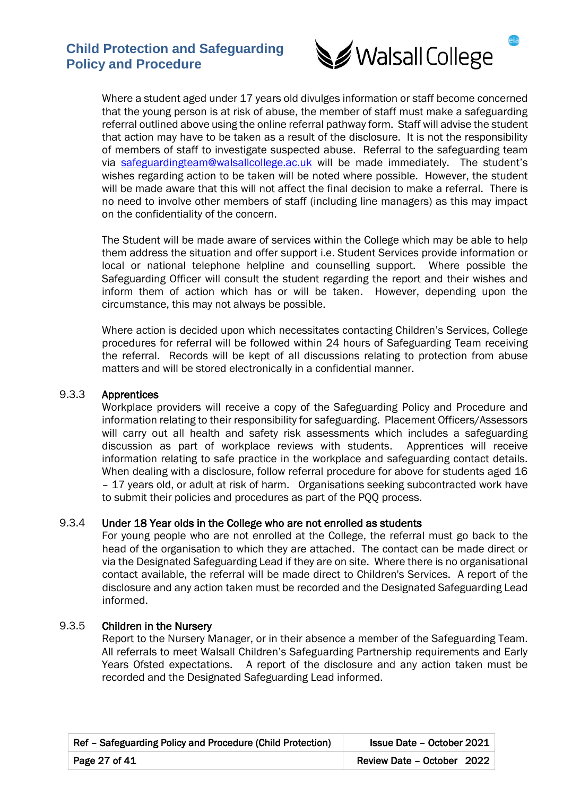

Where a student aged under 17 years old divulges information or staff become concerned that the young person is at risk of abuse, the member of staff must make a safeguarding referral outlined above using the online referral pathway form. Staff will advise the student that action may have to be taken as a result of the disclosure. It is not the responsibility of members of staff to investigate suspected abuse. Referral to the safeguarding team via [safeguardingteam@walsallcollege.ac.uk](mailto:safeguardingteam@walsallcollege.ac.uk) will be made immediately. The student's wishes regarding action to be taken will be noted where possible. However, the student will be made aware that this will not affect the final decision to make a referral. There is no need to involve other members of staff (including line managers) as this may impact on the confidentiality of the concern.

The Student will be made aware of services within the College which may be able to help them address the situation and offer support i.e. Student Services provide information or local or national telephone helpline and counselling support. Where possible the Safeguarding Officer will consult the student regarding the report and their wishes and inform them of action which has or will be taken. However, depending upon the circumstance, this may not always be possible.

Where action is decided upon which necessitates contacting Children's Services, College procedures for referral will be followed within 24 hours of Safeguarding Team receiving the referral. Records will be kept of all discussions relating to protection from abuse matters and will be stored electronically in a confidential manner.

### 9.3.3 Apprentices

Workplace providers will receive a copy of the Safeguarding Policy and Procedure and information relating to their responsibility for safeguarding. Placement Officers/Assessors will carry out all health and safety risk assessments which includes a safeguarding discussion as part of workplace reviews with students. Apprentices will receive information relating to safe practice in the workplace and safeguarding contact details. When dealing with a disclosure, follow referral procedure for above for students aged 16 – 17 years old, or adult at risk of harm. Organisations seeking subcontracted work have to submit their policies and procedures as part of the PQQ process.

### 9.3.4 Under 18 Year olds in the College who are not enrolled as students

For young people who are not enrolled at the College, the referral must go back to the head of the organisation to which they are attached. The contact can be made direct or via the Designated Safeguarding Lead if they are on site. Where there is no organisational contact available, the referral will be made direct to Children's Services. A report of the disclosure and any action taken must be recorded and the Designated Safeguarding Lead informed.

### 9.3.5 Children in the Nursery

Report to the Nursery Manager, or in their absence a member of the Safeguarding Team. All referrals to meet Walsall Children's Safeguarding Partnership requirements and Early Years Ofsted expectations. A report of the disclosure and any action taken must be recorded and the Designated Safeguarding Lead informed.

| Ref - Safeguarding Policy and Procedure (Child Protection) | <b>Issue Date - October 2021</b> |
|------------------------------------------------------------|----------------------------------|
| Page 27 of 41                                              | Review Date - October 2022       |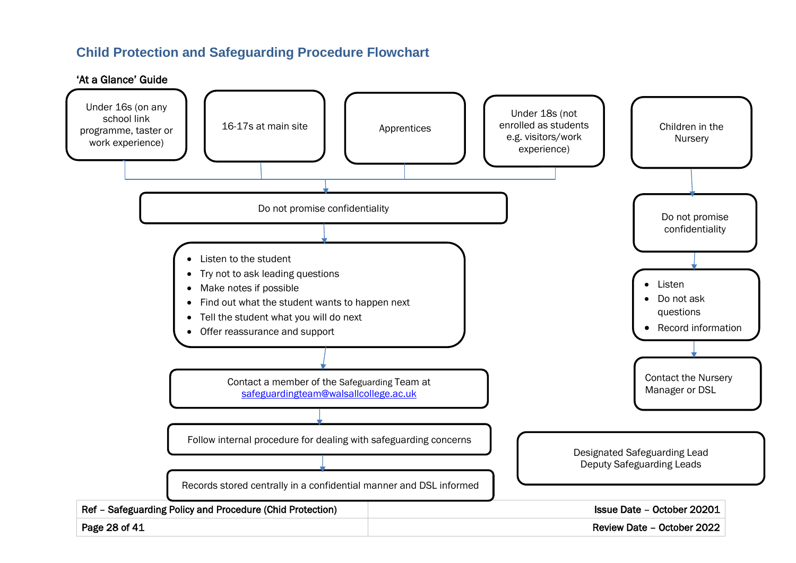# **Child Protection and Safeguarding Procedure Flowchart**

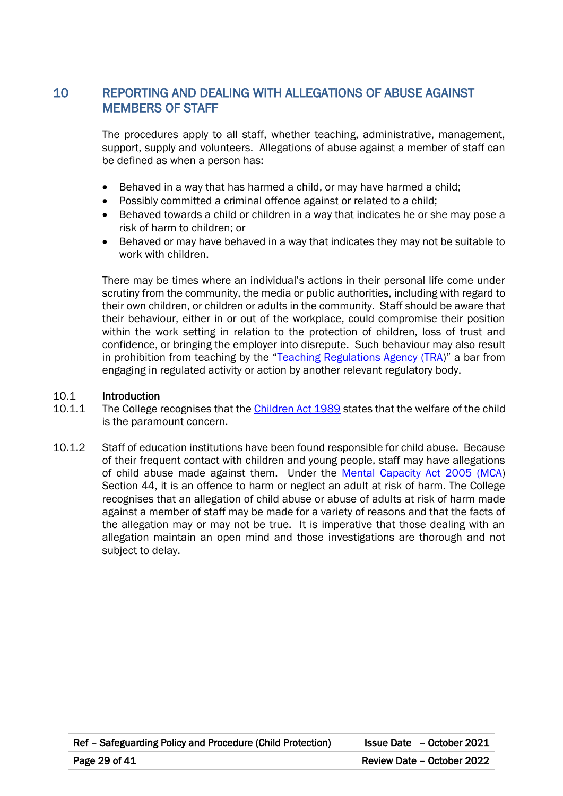# 10 REPORTING AND DEALING WITH ALLEGATIONS OF ABUSE AGAINST MEMBERS OF STAFF

 The procedures apply to all staff, whether teaching, administrative, management, support, supply and volunteers. Allegations of abuse against a member of staff can be defined as when a person has:

- Behaved in a way that has harmed a child, or may have harmed a child;
- Possibly committed a criminal offence against or related to a child;
- Behaved towards a child or children in a way that indicates he or she may pose a risk of harm to children; or
- Behaved or may have behaved in a way that indicates they may not be suitable to work with children.

There may be times where an individual's actions in their personal life come under scrutiny from the community, the media or public authorities, including with regard to their own children, or children or adults in the community. Staff should be aware that their behaviour, either in or out of the workplace, could compromise their position within the work setting in relation to the protection of children, loss of trust and confidence, or bringing the employer into disrepute. Such behaviour may also result in prohibition from teaching by the "[Teaching Regulations Agency \(TRA](https://www.gov.uk/government/organisations/teaching-regulation-agency))" a bar from engaging in regulated activity or action by another relevant regulatory body.

### 10.1 Introduction

- 10.1.1 The College recognises that th[e Children Act 1989](https://www.gov.uk/government/organisations/teaching-regulation-agency) states that the welfare of the child is the paramount concern.
- 10.1.2 Staff of education institutions have been found responsible for child abuse. Because of their frequent contact with children and young people, staff may have allegations of child abuse made against them. Under the [Mental Capacity Act 2005 \(MCA\)](https://www.legislation.gov.uk/ukpga/2005/9/contents) Section 44, it is an offence to harm or neglect an adult at risk of harm. The College recognises that an allegation of child abuse or abuse of adults at risk of harm made against a member of staff may be made for a variety of reasons and that the facts of the allegation may or may not be true. It is imperative that those dealing with an allegation maintain an open mind and those investigations are thorough and not subject to delay.

| Ref - Safeguarding Policy and Procedure (Child Protection) | Issue Date - October 2021  |
|------------------------------------------------------------|----------------------------|
| Page 29 of 41                                              | Review Date - October 2022 |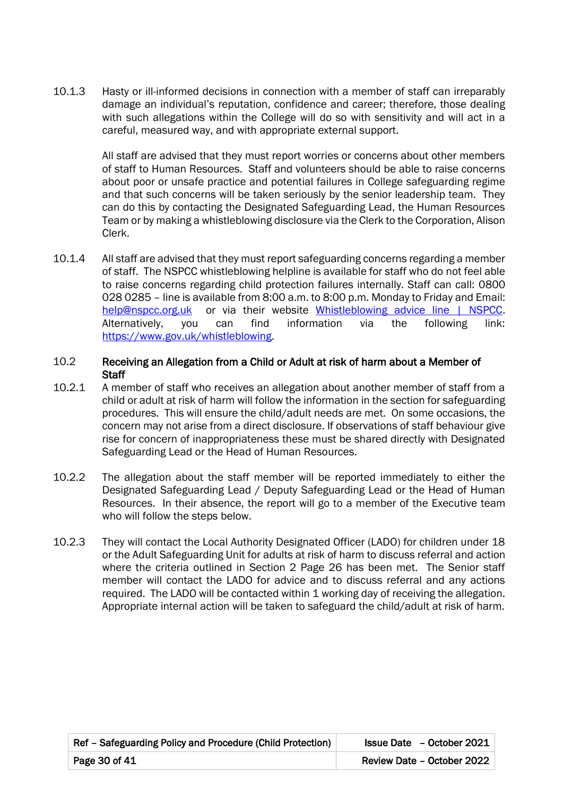10.1.3 Hasty or ill-informed decisions in connection with a member of staff can irreparably damage an individual's reputation, confidence and career; therefore, those dealing with such allegations within the College will do so with sensitivity and will act in a careful, measured way, and with appropriate external support.

> All staff are advised that they must report worries or concerns about other members of staff to Human Resources. Staff and volunteers should be able to raise concerns about poor or unsafe practice and potential failures in College safeguarding regime and that such concerns will be taken seriously by the senior leadership team. They can do this by contacting the Designated Safeguarding Lead, the Human Resources Team or by making a whistleblowing disclosure via the Clerk to the Corporation, Alison Clerk.

10.1.4 All staff are advised that they must report safeguarding concerns regarding a member of staff. The NSPCC whistleblowing helpline is available for staff who do not feel able to raise concerns regarding child protection failures internally. Staff can call: 0800 028 0285 – line is available from 8:00 a.m. to 8:00 p.m. Monday to Friday and Email: [help@nspcc.org.uk](mailto:help@nspcc.org.uk) or via their website [Whistleblowing advice line | NSPCC.](https://www.nspcc.org.uk/what-you-can-do/report-abuse/dedicated-helplines/whistleblowing-advice-line/) Alternatively, you can find information via the following link: [https://www.gov.uk/whistleblowing.](https://www.gov.uk/whistleblowing)

### 10.2 Receiving an Allegation from a Child or Adult at risk of harm about a Member of **Staff**

- 10.2.1 A member of staff who receives an allegation about another member of staff from a child or adult at risk of harm will follow the information in the section for safeguarding procedures. This will ensure the child/adult needs are met. On some occasions, the concern may not arise from a direct disclosure. If observations of staff behaviour give rise for concern of inappropriateness these must be shared directly with Designated Safeguarding Lead or the Head of Human Resources.
- 10.2.2 The allegation about the staff member will be reported immediately to either the Designated Safeguarding Lead / Deputy Safeguarding Lead or the Head of Human Resources. In their absence, the report will go to a member of the Executive team who will follow the steps below.
- 10.2.3 They will contact the Local Authority Designated Officer (LADO) for children under 18 or the Adult Safeguarding Unit for adults at risk of harm to discuss referral and action where the criteria outlined in Section 2 Page 26 has been met. The Senior staff member will contact the LADO for advice and to discuss referral and any actions required. The LADO will be contacted within 1 working day of receiving the allegation. Appropriate internal action will be taken to safeguard the child/adult at risk of harm.

| Ref – Safeguarding Policy and Procedure (Child Protection) | Issue Date - October 2021  |
|------------------------------------------------------------|----------------------------|
| Page 30 of 41                                              | Review Date - October 2022 |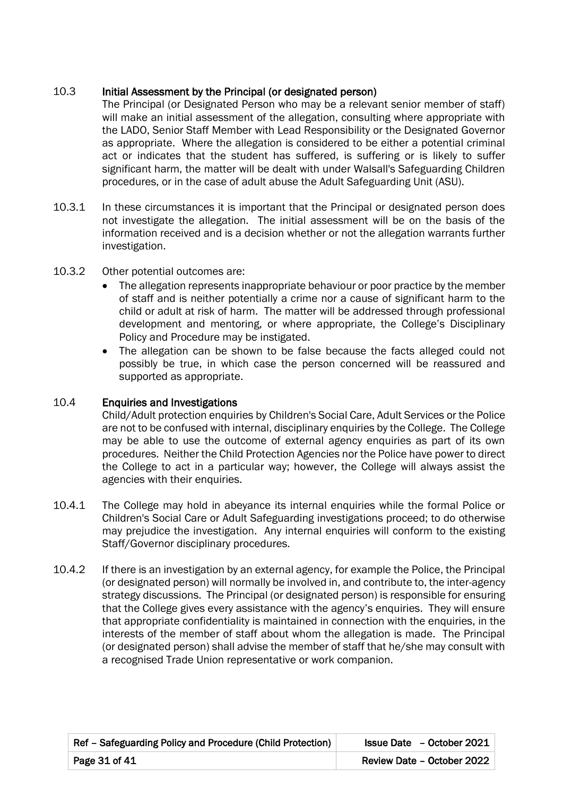# 10.3 Initial Assessment by the Principal (or designated person)

The Principal (or Designated Person who may be a relevant senior member of staff) will make an initial assessment of the allegation, consulting where appropriate with the LADO, Senior Staff Member with Lead Responsibility or the Designated Governor as appropriate. Where the allegation is considered to be either a potential criminal act or indicates that the student has suffered, is suffering or is likely to suffer significant harm, the matter will be dealt with under Walsall's Safeguarding Children procedures, or in the case of adult abuse the Adult Safeguarding Unit (ASU).

- 10.3.1 In these circumstances it is important that the Principal or designated person does not investigate the allegation. The initial assessment will be on the basis of the information received and is a decision whether or not the allegation warrants further investigation.
- 10.3.2 Other potential outcomes are:
	- The allegation represents inappropriate behaviour or poor practice by the member of staff and is neither potentially a crime nor a cause of significant harm to the child or adult at risk of harm. The matter will be addressed through professional development and mentoring, or where appropriate, the College's Disciplinary Policy and Procedure may be instigated.
	- The allegation can be shown to be false because the facts alleged could not possibly be true, in which case the person concerned will be reassured and supported as appropriate.

# 10.4 Enquiries and Investigations

Child/Adult protection enquiries by Children's Social Care, Adult Services or the Police are not to be confused with internal, disciplinary enquiries by the College. The College may be able to use the outcome of external agency enquiries as part of its own procedures. Neither the Child Protection Agencies nor the Police have power to direct the College to act in a particular way; however, the College will always assist the agencies with their enquiries.

- 10.4.1 The College may hold in abeyance its internal enquiries while the formal Police or Children's Social Care or Adult Safeguarding investigations proceed; to do otherwise may prejudice the investigation. Any internal enquiries will conform to the existing Staff/Governor disciplinary procedures.
- 10.4.2 If there is an investigation by an external agency, for example the Police, the Principal (or designated person) will normally be involved in, and contribute to, the inter-agency strategy discussions. The Principal (or designated person) is responsible for ensuring that the College gives every assistance with the agency's enquiries. They will ensure that appropriate confidentiality is maintained in connection with the enquiries, in the interests of the member of staff about whom the allegation is made. The Principal (or designated person) shall advise the member of staff that he/she may consult with a recognised Trade Union representative or work companion.

| Ref - Safeguarding Policy and Procedure (Child Protection) | <b>Issue Date</b> - October 2021 |
|------------------------------------------------------------|----------------------------------|
| Page $31$ of $41$                                          | Review Date - October 2022       |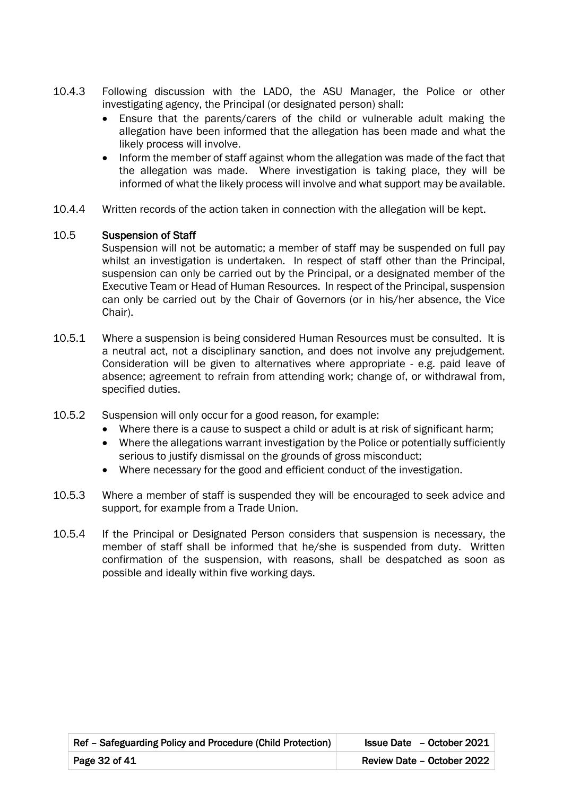- 10.4.3 Following discussion with the LADO, the ASU Manager, the Police or other investigating agency, the Principal (or designated person) shall:
	- Ensure that the parents/carers of the child or vulnerable adult making the allegation have been informed that the allegation has been made and what the likely process will involve.
	- Inform the member of staff against whom the allegation was made of the fact that the allegation was made. Where investigation is taking place, they will be informed of what the likely process will involve and what support may be available.
- 10.4.4 Written records of the action taken in connection with the allegation will be kept.

## 10.5 Suspension of Staff

Suspension will not be automatic; a member of staff may be suspended on full pay whilst an investigation is undertaken. In respect of staff other than the Principal, suspension can only be carried out by the Principal, or a designated member of the Executive Team or Head of Human Resources. In respect of the Principal, suspension can only be carried out by the Chair of Governors (or in his/her absence, the Vice Chair).

- 10.5.1 Where a suspension is being considered Human Resources must be consulted. It is a neutral act, not a disciplinary sanction, and does not involve any prejudgement. Consideration will be given to alternatives where appropriate - e.g. paid leave of absence; agreement to refrain from attending work; change of, or withdrawal from, specified duties.
- 10.5.2 Suspension will only occur for a good reason, for example:
	- Where there is a cause to suspect a child or adult is at risk of significant harm;
	- Where the allegations warrant investigation by the Police or potentially sufficiently serious to justify dismissal on the grounds of gross misconduct;
	- Where necessary for the good and efficient conduct of the investigation.
- 10.5.3 Where a member of staff is suspended they will be encouraged to seek advice and support, for example from a Trade Union.
- 10.5.4 If the Principal or Designated Person considers that suspension is necessary, the member of staff shall be informed that he/she is suspended from duty. Written confirmation of the suspension, with reasons, shall be despatched as soon as possible and ideally within five working days.

| Ref - Safeguarding Policy and Procedure (Child Protection) | <b>Issue Date</b> - October 2021 |
|------------------------------------------------------------|----------------------------------|
| Page 32 of 41                                              | Review Date - October 2022       |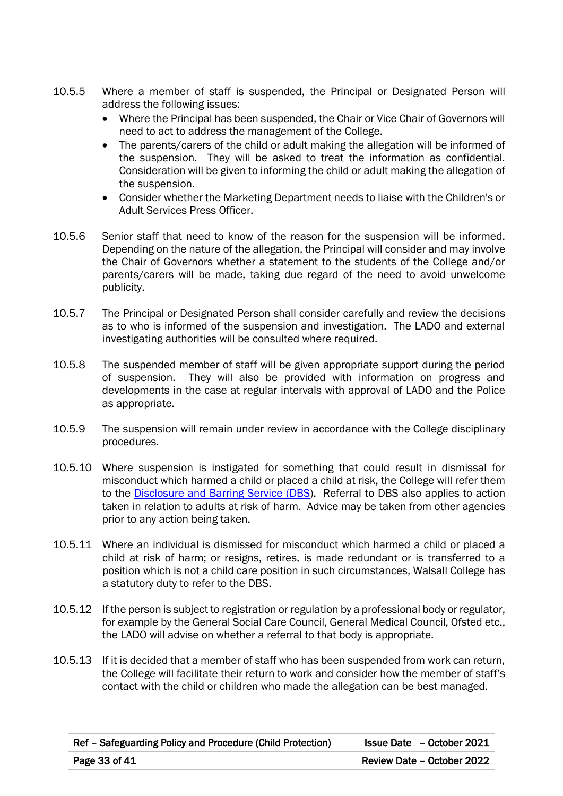- 10.5.5 Where a member of staff is suspended, the Principal or Designated Person will address the following issues:
	- Where the Principal has been suspended, the Chair or Vice Chair of Governors will need to act to address the management of the College.
	- The parents/carers of the child or adult making the allegation will be informed of the suspension. They will be asked to treat the information as confidential. Consideration will be given to informing the child or adult making the allegation of the suspension.
	- Consider whether the Marketing Department needs to liaise with the Children's or Adult Services Press Officer.
- 10.5.6 Senior staff that need to know of the reason for the suspension will be informed. Depending on the nature of the allegation, the Principal will consider and may involve the Chair of Governors whether a statement to the students of the College and/or parents/carers will be made, taking due regard of the need to avoid unwelcome publicity.
- 10.5.7 The Principal or Designated Person shall consider carefully and review the decisions as to who is informed of the suspension and investigation. The LADO and external investigating authorities will be consulted where required.
- 10.5.8 The suspended member of staff will be given appropriate support during the period of suspension. They will also be provided with information on progress and developments in the case at regular intervals with approval of LADO and the Police as appropriate.
- 10.5.9 The suspension will remain under review in accordance with the College disciplinary procedures.
- 10.5.10 Where suspension is instigated for something that could result in dismissal for misconduct which harmed a child or placed a child at risk, the College will refer them to the [Disclosure and Barring Service \(DBS\)](https://www.gov.uk/government/organisations/disclosure-and-barring-service). Referral to DBS also applies to action taken in relation to adults at risk of harm. Advice may be taken from other agencies prior to any action being taken.
- 10.5.11 Where an individual is dismissed for misconduct which harmed a child or placed a child at risk of harm; or resigns, retires, is made redundant or is transferred to a position which is not a child care position in such circumstances, Walsall College has a statutory duty to refer to the DBS.
- 10.5.12 If the person is subject to registration or regulation by a professional body or regulator, for example by the General Social Care Council, General Medical Council, Ofsted etc., the LADO will advise on whether a referral to that body is appropriate.
- 10.5.13 If it is decided that a member of staff who has been suspended from work can return, the College will facilitate their return to work and consider how the member of staff's contact with the child or children who made the allegation can be best managed.

| Ref - Safeguarding Policy and Procedure (Child Protection) | Issue Date - October 2021  |
|------------------------------------------------------------|----------------------------|
| Page 33 of 41                                              | Review Date - October 2022 |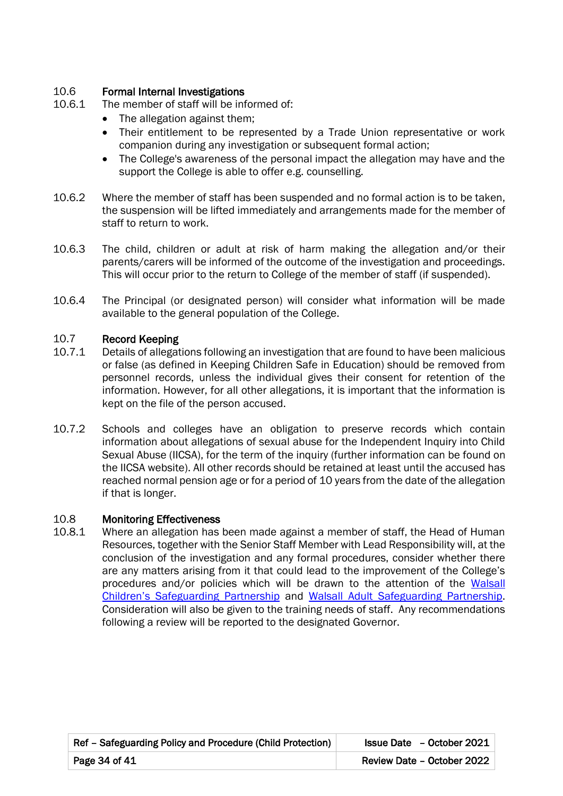# 10.6 Formal Internal Investigations

- 10.6.1 The member of staff will be informed of:
	- The allegation against them;
	- Their entitlement to be represented by a Trade Union representative or work companion during any investigation or subsequent formal action;
	- The College's awareness of the personal impact the allegation may have and the support the College is able to offer e.g. counselling.
- 10.6.2 Where the member of staff has been suspended and no formal action is to be taken, the suspension will be lifted immediately and arrangements made for the member of staff to return to work.
- 10.6.3 The child, children or adult at risk of harm making the allegation and/or their parents/carers will be informed of the outcome of the investigation and proceedings. This will occur prior to the return to College of the member of staff (if suspended).
- 10.6.4 The Principal (or designated person) will consider what information will be made available to the general population of the College.

# 10.7 Record Keeping

- 10.7.1 Details of allegations following an investigation that are found to have been malicious or false (as defined in Keeping Children Safe in Education) should be removed from personnel records, unless the individual gives their consent for retention of the information. However, for all other allegations, it is important that the information is kept on the file of the person accused.
- 10.7.2 Schools and colleges have an obligation to preserve records which contain information about allegations of sexual abuse for the Independent Inquiry into Child Sexual Abuse (IICSA), for the term of the inquiry (further information can be found on the IICSA website). All other records should be retained at least until the accused has reached normal pension age or for a period of 10 years from the date of the allegation if that is longer.

### 10.8 Monitoring Effectiveness

10.8.1 Where an allegation has been made against a member of staff, the Head of Human Resources, together with the Senior Staff Member with Lead Responsibility will, at the conclusion of the investigation and any formal procedures, consider whether there are any matters arising from it that could lead to the improvement of the College's procedures and/or policies which will be drawn to the attention of the Walsall [Children's Safeguarding Partnershi](https://go.walsall.gov.uk/walsall-safeguarding-partnership/)p and [Walsall Adult Safeguarding Partnership.](https://go.walsall.gov.uk/walsall-safeguarding-partnership/) Consideration will also be given to the training needs of staff. Any recommendations following a review will be reported to the designated Governor.

| Ref – Safeguarding Policy and Procedure (Child Protection) | Issue Date - October 2021  |
|------------------------------------------------------------|----------------------------|
| Page 34 of 41                                              | Review Date - October 2022 |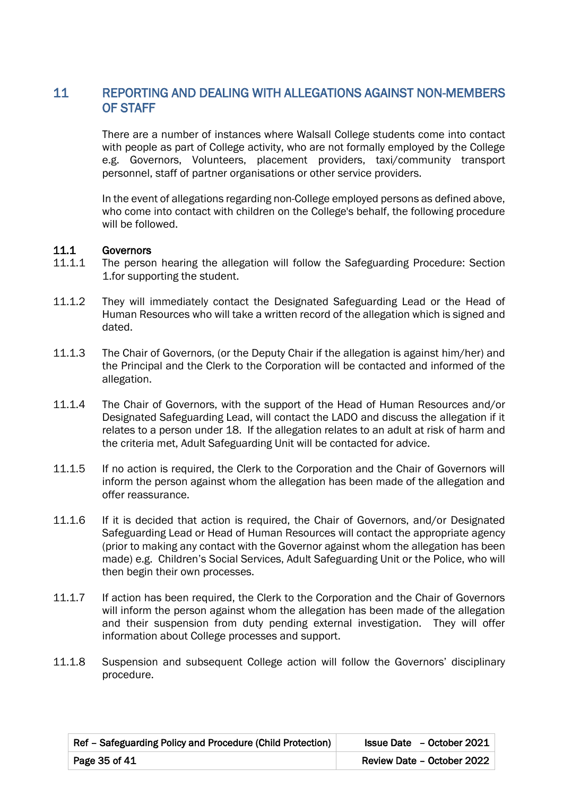# 11 REPORTING AND DEALING WITH ALLEGATIONS AGAINST NON-MEMBERS OF STAFF

There are a number of instances where Walsall College students come into contact with people as part of College activity, who are not formally employed by the College e.g. Governors, Volunteers, placement providers, taxi/community transport personnel, staff of partner organisations or other service providers.

In the event of allegations regarding non-College employed persons as defined above, who come into contact with children on the College's behalf, the following procedure will be followed.

### 11.1 Governors

- 11.1.1 The person hearing the allegation will follow the Safeguarding Procedure: Section 1.for supporting the student.
- 11.1.2 They will immediately contact the Designated Safeguarding Lead or the Head of Human Resources who will take a written record of the allegation which is signed and dated.
- 11.1.3 The Chair of Governors, (or the Deputy Chair if the allegation is against him/her) and the Principal and the Clerk to the Corporation will be contacted and informed of the allegation.
- 11.1.4 The Chair of Governors, with the support of the Head of Human Resources and/or Designated Safeguarding Lead, will contact the LADO and discuss the allegation if it relates to a person under 18. If the allegation relates to an adult at risk of harm and the criteria met, Adult Safeguarding Unit will be contacted for advice.
- 11.1.5 If no action is required, the Clerk to the Corporation and the Chair of Governors will inform the person against whom the allegation has been made of the allegation and offer reassurance.
- 11.1.6 If it is decided that action is required, the Chair of Governors, and/or Designated Safeguarding Lead or Head of Human Resources will contact the appropriate agency (prior to making any contact with the Governor against whom the allegation has been made) e.g. Children's Social Services, Adult Safeguarding Unit or the Police, who will then begin their own processes.
- 11.1.7 If action has been required, the Clerk to the Corporation and the Chair of Governors will inform the person against whom the allegation has been made of the allegation and their suspension from duty pending external investigation. They will offer information about College processes and support.
- 11.1.8 Suspension and subsequent College action will follow the Governors' disciplinary procedure.

| Ref - Safeguarding Policy and Procedure (Child Protection) | <b>Issue Date</b> - October 2021 |
|------------------------------------------------------------|----------------------------------|
| Page 35 of 41                                              | Review Date - October 2022       |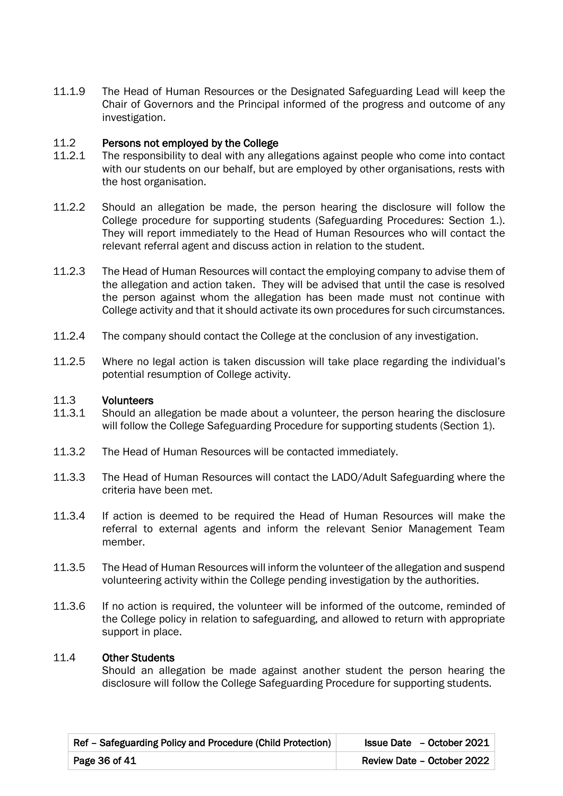11.1.9 The Head of Human Resources or the Designated Safeguarding Lead will keep the Chair of Governors and the Principal informed of the progress and outcome of any investigation.

### 11.2 Persons not employed by the College

- 11.2.1 The responsibility to deal with any allegations against people who come into contact with our students on our behalf, but are employed by other organisations, rests with the host organisation.
- 11.2.2 Should an allegation be made, the person hearing the disclosure will follow the College procedure for supporting students (Safeguarding Procedures: Section 1.). They will report immediately to the Head of Human Resources who will contact the relevant referral agent and discuss action in relation to the student.
- 11.2.3 The Head of Human Resources will contact the employing company to advise them of the allegation and action taken. They will be advised that until the case is resolved the person against whom the allegation has been made must not continue with College activity and that it should activate its own procedures for such circumstances.
- 11.2.4 The company should contact the College at the conclusion of any investigation.
- 11.2.5 Where no legal action is taken discussion will take place regarding the individual's potential resumption of College activity.

### 11.3 Volunteers

- 11.3.1 Should an allegation be made about a volunteer, the person hearing the disclosure will follow the College Safeguarding Procedure for supporting students (Section 1).
- 11.3.2 The Head of Human Resources will be contacted immediately.
- 11.3.3 The Head of Human Resources will contact the LADO/Adult Safeguarding where the criteria have been met.
- 11.3.4 If action is deemed to be required the Head of Human Resources will make the referral to external agents and inform the relevant Senior Management Team member.
- 11.3.5 The Head of Human Resources will inform the volunteer of the allegation and suspend volunteering activity within the College pending investigation by the authorities.
- 11.3.6 If no action is required, the volunteer will be informed of the outcome, reminded of the College policy in relation to safeguarding, and allowed to return with appropriate support in place.

## 11.4 Other Students

Should an allegation be made against another student the person hearing the disclosure will follow the College Safeguarding Procedure for supporting students.

| Ref - Safeguarding Policy and Procedure (Child Protection) | $\textsf{Issue Date}$ – October 2021 |
|------------------------------------------------------------|--------------------------------------|
| Page 36 of $41$                                            | Review Date - October 2022           |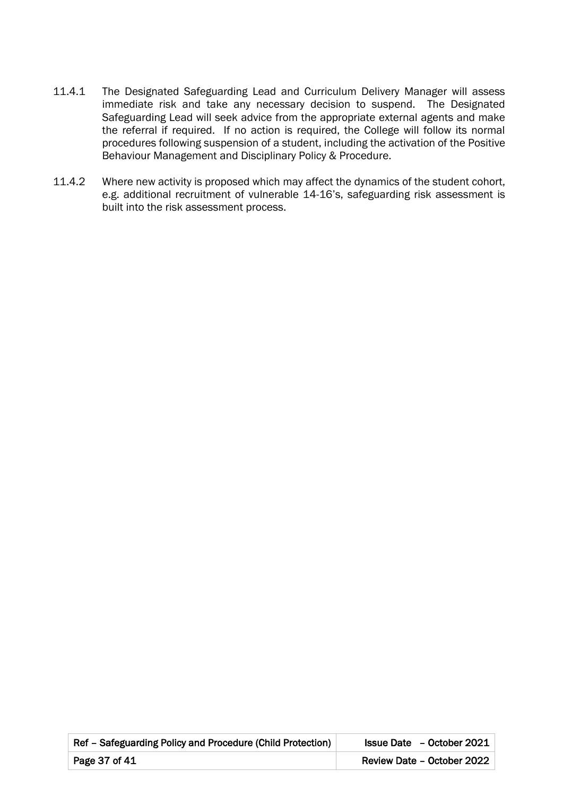- 11.4.1 The Designated Safeguarding Lead and Curriculum Delivery Manager will assess immediate risk and take any necessary decision to suspend. The Designated Safeguarding Lead will seek advice from the appropriate external agents and make the referral if required. If no action is required, the College will follow its normal procedures following suspension of a student, including the activation of the Positive Behaviour Management and Disciplinary Policy & Procedure.
- 11.4.2 Where new activity is proposed which may affect the dynamics of the student cohort, e.g. additional recruitment of vulnerable 14-16's, safeguarding risk assessment is built into the risk assessment process.

| Ref - Safeguarding Policy and Procedure (Child Protection) | <b>Issue Date</b> - October 2021 |
|------------------------------------------------------------|----------------------------------|
| Page 37 of 41                                              | Review Date - October 2022       |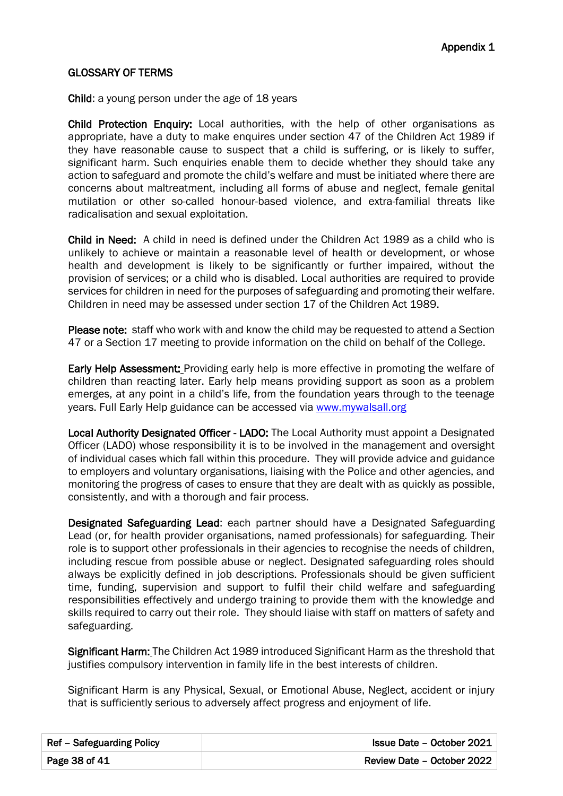## GLOSSARY OF TERMS

Child: a young person under the age of 18 years

Child Protection Enquiry: Local authorities, with the help of other organisations as appropriate, have a duty to make enquires under section 47 of the Children Act 1989 if they have reasonable cause to suspect that a child is suffering, or is likely to suffer, significant harm. Such enquiries enable them to decide whether they should take any action to safeguard and promote the child's welfare and must be initiated where there are concerns about maltreatment, including all forms of abuse and neglect, female genital mutilation or other so-called honour-based violence, and extra-familial threats like radicalisation and sexual exploitation.

Child in Need: A child in need is defined under the Children Act 1989 as a child who is unlikely to achieve or maintain a reasonable level of health or development, or whose health and development is likely to be significantly or further impaired, without the provision of services; or a child who is disabled. Local authorities are required to provide services for children in need for the purposes of safeguarding and promoting their welfare. Children in need may be assessed under section 17 of the Children Act 1989.

Please note: staff who work with and know the child may be requested to attend a Section 47 or a Section 17 meeting to provide information on the child on behalf of the College.

Early Help Assessment: Providing early help is more effective in promoting the welfare of children than reacting later. Early help means providing support as soon as a problem emerges, at any point in a child's life, from the foundation years through to the teenage years. Full Early Help guidance can be accessed via [www.mywalsall.org](http://www.mywalsall.org/)

Local Authority Designated Officer - LADO: The Local Authority must appoint a Designated Officer (LADO) whose responsibility it is to be involved in the management and oversight of individual cases which fall within this procedure. They will provide advice and guidance to employers and voluntary organisations, liaising with the Police and other agencies, and monitoring the progress of cases to ensure that they are dealt with as quickly as possible, consistently, and with a thorough and fair process.

Designated Safeguarding Lead: each partner should have a Designated Safeguarding Lead (or, for health provider organisations, named professionals) for safeguarding. Their role is to support other professionals in their agencies to recognise the needs of children, including rescue from possible abuse or neglect. Designated safeguarding roles should always be explicitly defined in job descriptions. Professionals should be given sufficient time, funding, supervision and support to fulfil their child welfare and safeguarding responsibilities effectively and undergo training to provide them with the knowledge and skills required to carry out their role. They should liaise with staff on matters of safety and safeguarding.

Significant Harm: The Children Act 1989 introduced Significant Harm as the threshold that justifies compulsory intervention in family life in the best interests of children.

Significant Harm is any Physical, Sexual, or Emotional Abuse, Neglect, accident or injury that is sufficiently serious to adversely affect progress and enjoyment of life.

| Ref - Safeguarding Policy | Issue Date - October 2021  |
|---------------------------|----------------------------|
| Page 38 of 41             | Review Date - October 2022 |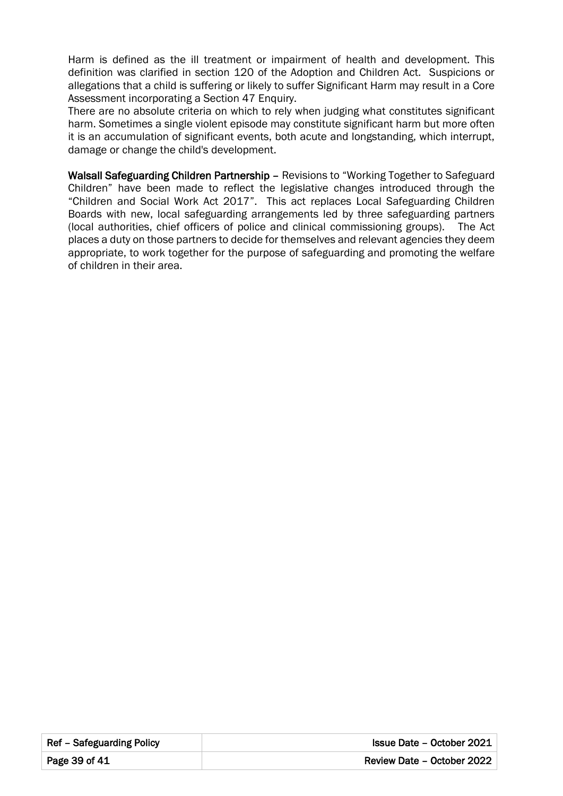Harm is defined as the ill treatment or impairment of health and development. This definition was clarified in section 120 of the Adoption and Children Act. Suspicions or allegations that a child is suffering or likely to suffer Significant Harm may result in a Core Assessment incorporating a Section 47 Enquiry.

There are no absolute criteria on which to rely when judging what constitutes significant harm. Sometimes a single violent episode may constitute significant harm but more often it is an accumulation of significant events, both acute and longstanding, which interrupt, damage or change the child's development.

Walsall Safeguarding Children Partnership – Revisions to "Working Together to Safeguard Children" have been made to reflect the legislative changes introduced through the "Children and Social Work Act 2017". This act replaces Local Safeguarding Children Boards with new, local safeguarding arrangements led by three safeguarding partners (local authorities, chief officers of police and clinical commissioning groups). The Act places a duty on those partners to decide for themselves and relevant agencies they deem appropriate, to work together for the purpose of safeguarding and promoting the welfare of children in their area.

| Ref – Safeguarding Policy | <b>Issue Date - October 2021</b> |
|---------------------------|----------------------------------|
| Page 39 of 41             | Review Date - October 2022       |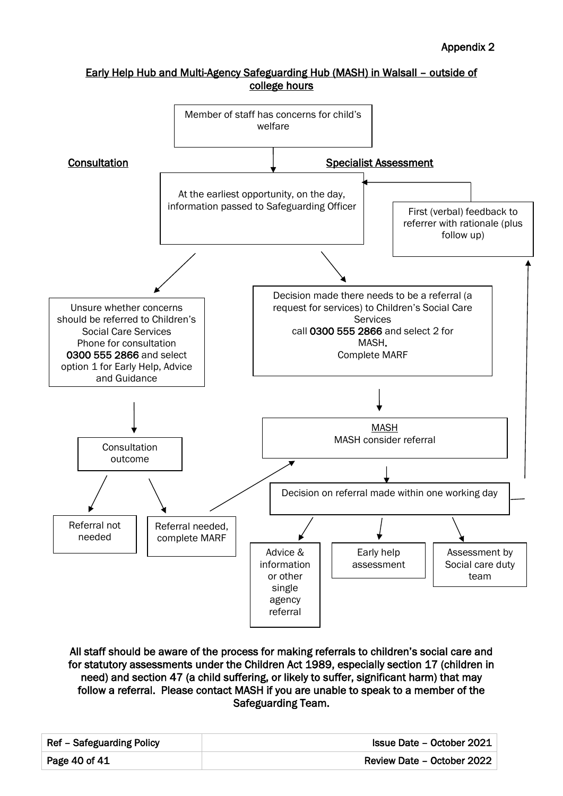### Early Help Hub and Multi-Agency Safeguarding Hub (MASH) in Walsall – outside of college hours



All staff should be aware of the process for making referrals to children's social care and for statutory assessments under the Children Act 1989, especially section 17 (children in need) and section 47 (a child suffering, or likely to suffer, significant harm) that may follow a referral. Please contact MASH if you are unable to speak to a member of the Safeguarding Team.

| Ref – Safeguarding Policy | Issue Date - October 2021  |
|---------------------------|----------------------------|
| Page 40 of 41             | Review Date - October 2022 |